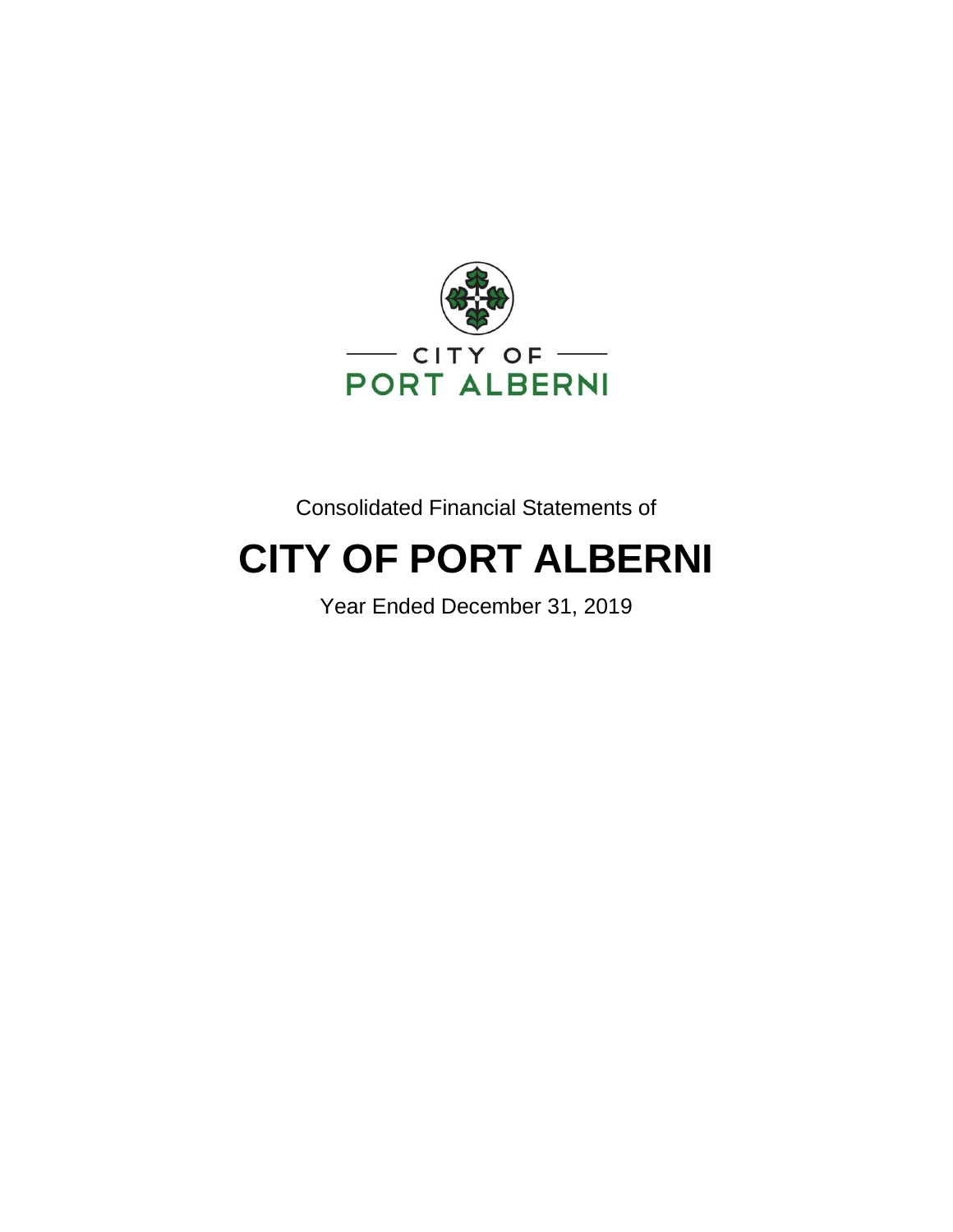

Consolidated Financial Statements of

# **CITY OF PORT ALBERNI**

Year Ended December 31, 2019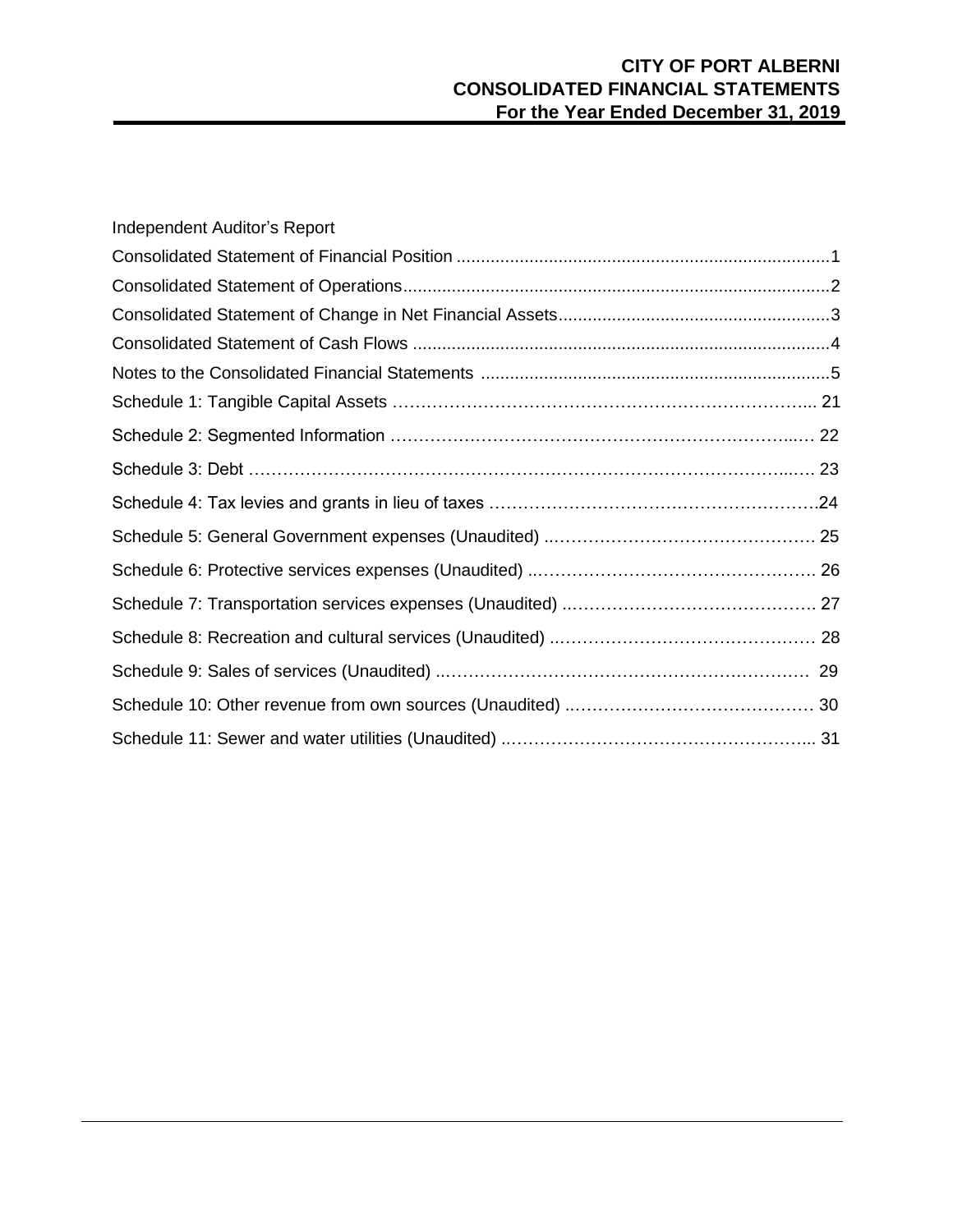# **CITY OF PORT ALBERNI CONSOLIDATED FINANCIAL STATEMENTS For the Year Ended December 31, 2019**

| Independent Auditor's Report |  |
|------------------------------|--|
|                              |  |
|                              |  |
|                              |  |
|                              |  |
|                              |  |
|                              |  |
|                              |  |
|                              |  |
|                              |  |
|                              |  |
|                              |  |
|                              |  |
|                              |  |
|                              |  |
|                              |  |
|                              |  |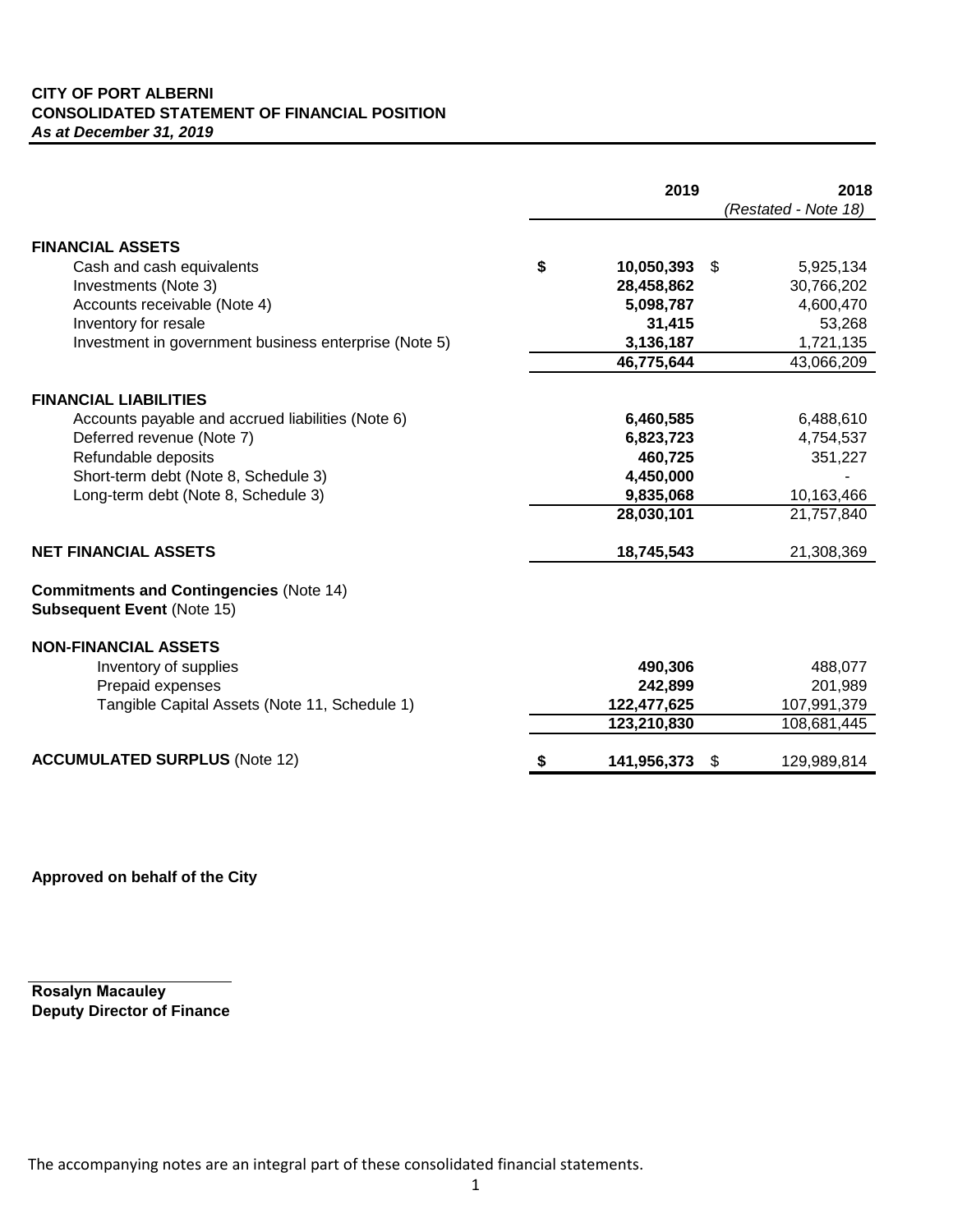# **CITY OF PORT ALBERNI CONSOLIDATED STATEMENT OF FINANCIAL POSITION**  *As at December 31, 2019*

|                                                                                     | 2019                  | 2018<br>(Restated - Note 18) |
|-------------------------------------------------------------------------------------|-----------------------|------------------------------|
| <b>FINANCIAL ASSETS</b>                                                             |                       |                              |
| Cash and cash equivalents                                                           | \$<br>$10,050,393$ \$ | 5,925,134                    |
| Investments (Note 3)                                                                | 28,458,862            | 30,766,202                   |
| Accounts receivable (Note 4)                                                        | 5,098,787             | 4,600,470                    |
| Inventory for resale                                                                | 31,415                | 53,268                       |
| Investment in government business enterprise (Note 5)                               | 3,136,187             | 1,721,135                    |
|                                                                                     | 46,775,644            | 43,066,209                   |
| <b>FINANCIAL LIABILITIES</b>                                                        |                       |                              |
| Accounts payable and accrued liabilities (Note 6)                                   | 6,460,585             | 6,488,610                    |
| Deferred revenue (Note 7)                                                           | 6,823,723             | 4,754,537                    |
| Refundable deposits                                                                 | 460,725               | 351,227                      |
| Short-term debt (Note 8, Schedule 3)                                                | 4,450,000             |                              |
| Long-term debt (Note 8, Schedule 3)                                                 | 9,835,068             | 10,163,466                   |
|                                                                                     | 28,030,101            | 21,757,840                   |
| <b>NET FINANCIAL ASSETS</b>                                                         | 18,745,543            | 21,308,369                   |
| <b>Commitments and Contingencies (Note 14)</b><br><b>Subsequent Event (Note 15)</b> |                       |                              |
| <b>NON-FINANCIAL ASSETS</b>                                                         |                       |                              |
| Inventory of supplies                                                               | 490,306               | 488,077                      |
| Prepaid expenses                                                                    | 242,899               | 201,989                      |
| Tangible Capital Assets (Note 11, Schedule 1)                                       | 122,477,625           | 107,991,379                  |
|                                                                                     | 123,210,830           | 108,681,445                  |
| <b>ACCUMULATED SURPLUS (Note 12)</b>                                                | 141,956,373           | \$<br>129,989,814            |

**Approved on behalf of the City**

**Rosalyn Macauley Deputy Director of Finance**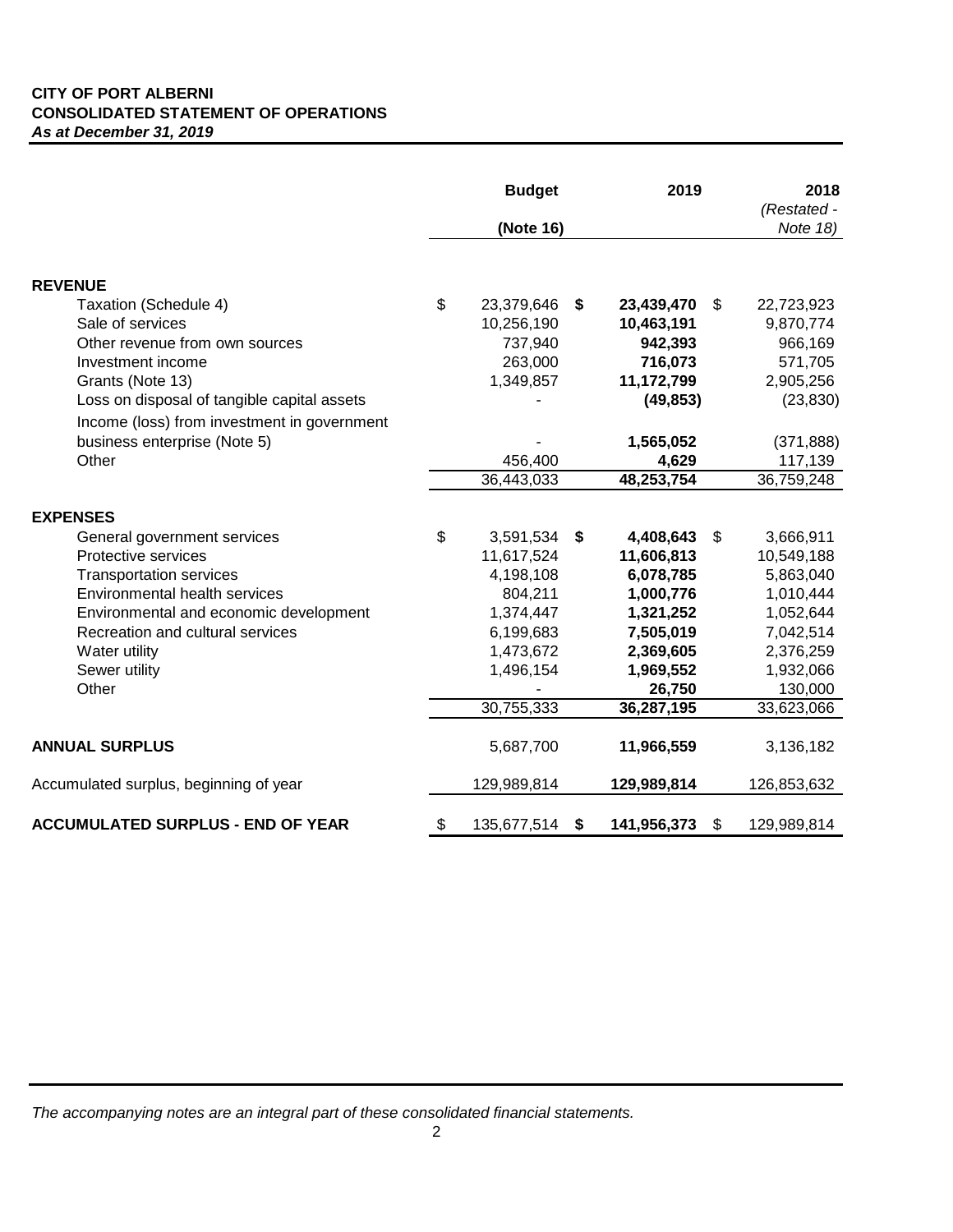# **CITY OF PORT ALBERNI CONSOLIDATED STATEMENT OF OPERATIONS** *As at December 31, 2019*

|                                                    | <b>Budget</b><br>(Note 16) |                       |    | 2019                  | 2018<br>(Restated -<br>Note 18) |                            |
|----------------------------------------------------|----------------------------|-----------------------|----|-----------------------|---------------------------------|----------------------------|
|                                                    |                            |                       |    |                       |                                 |                            |
| <b>REVENUE</b>                                     |                            |                       |    |                       |                                 |                            |
| Taxation (Schedule 4)                              | \$                         | 23,379,646            | S. | 23,439,470            | \$                              | 22,723,923                 |
| Sale of services<br>Other revenue from own sources |                            | 10,256,190<br>737,940 |    | 10,463,191<br>942,393 |                                 | 9,870,774<br>966,169       |
| Investment income                                  |                            | 263,000               |    | 716,073               |                                 | 571,705                    |
| Grants (Note 13)                                   |                            | 1,349,857             |    | 11,172,799            |                                 | 2,905,256                  |
| Loss on disposal of tangible capital assets        |                            |                       |    | (49, 853)             |                                 | (23, 830)                  |
| Income (loss) from investment in government        |                            |                       |    |                       |                                 |                            |
| business enterprise (Note 5)                       |                            |                       |    | 1,565,052             |                                 | (371, 888)                 |
| Other                                              |                            | 456,400               |    | 4,629                 |                                 | 117,139                    |
|                                                    |                            | 36,443,033            |    | 48,253,754            |                                 | $\overline{36}$ , 759, 248 |
| <b>EXPENSES</b>                                    |                            |                       |    |                       |                                 |                            |
| General government services                        | \$                         | 3,591,534             | \$ | 4,408,643             | \$                              | 3,666,911                  |
| Protective services                                |                            | 11,617,524            |    | 11,606,813            |                                 | 10,549,188                 |
| <b>Transportation services</b>                     |                            | 4,198,108             |    | 6,078,785             |                                 | 5,863,040                  |
| Environmental health services                      |                            | 804,211               |    | 1,000,776             |                                 | 1,010,444                  |
| Environmental and economic development             |                            | 1,374,447             |    | 1,321,252             |                                 | 1,052,644                  |
| Recreation and cultural services                   |                            | 6,199,683             |    | 7,505,019             |                                 | 7,042,514                  |
| Water utility                                      |                            | 1,473,672             |    | 2,369,605             |                                 | 2,376,259                  |
| Sewer utility                                      |                            | 1,496,154             |    | 1,969,552             |                                 | 1,932,066                  |
| Other                                              |                            |                       |    | 26,750                |                                 | 130,000                    |
|                                                    |                            | 30,755,333            |    | 36,287,195            |                                 | 33,623,066                 |
| <b>ANNUAL SURPLUS</b>                              |                            | 5,687,700             |    | 11,966,559            |                                 | 3,136,182                  |
| Accumulated surplus, beginning of year             |                            | 129,989,814           |    | 129,989,814           |                                 | 126,853,632                |
| <b>ACCUMULATED SURPLUS - END OF YEAR</b>           | \$                         | 135,677,514           | \$ | 141,956,373           | \$                              | 129,989,814                |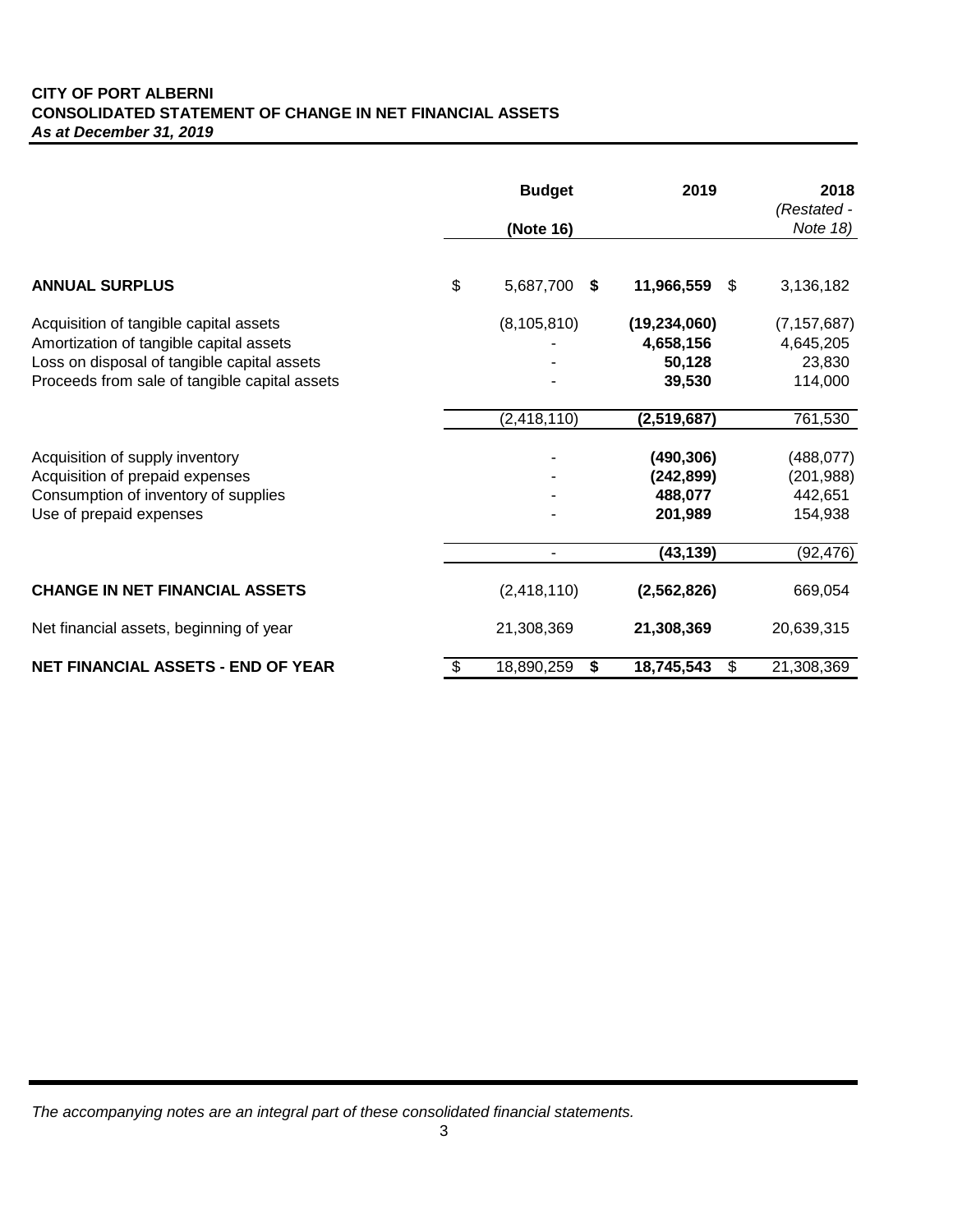# **CITY OF PORT ALBERNI CONSOLIDATED STATEMENT OF CHANGE IN NET FINANCIAL ASSETS**  *As at December 31, 2019*

|                                                                                                                                                                                   | <b>Budget</b><br>(Note 16) | 2019                                            | 2018<br>(Restated -<br>Note 18)                 |
|-----------------------------------------------------------------------------------------------------------------------------------------------------------------------------------|----------------------------|-------------------------------------------------|-------------------------------------------------|
| <b>ANNUAL SURPLUS</b>                                                                                                                                                             | \$<br>5,687,700<br>S.      | 11,966,559<br>S.                                | 3,136,182                                       |
| Acquisition of tangible capital assets<br>Amortization of tangible capital assets<br>Loss on disposal of tangible capital assets<br>Proceeds from sale of tangible capital assets | (8, 105, 810)              | (19, 234, 060)<br>4,658,156<br>50,128<br>39,530 | (7, 157, 687)<br>4,645,205<br>23,830<br>114,000 |
|                                                                                                                                                                                   | (2, 418, 110)              | (2,519,687)                                     | 761,530                                         |
| Acquisition of supply inventory<br>Acquisition of prepaid expenses<br>Consumption of inventory of supplies<br>Use of prepaid expenses                                             |                            | (490, 306)<br>(242, 899)<br>488,077<br>201,989  | (488, 077)<br>(201, 988)<br>442,651<br>154,938  |
|                                                                                                                                                                                   |                            | (43, 139)                                       | (92, 476)                                       |
| <b>CHANGE IN NET FINANCIAL ASSETS</b>                                                                                                                                             | (2, 418, 110)              | (2, 562, 826)                                   | 669,054                                         |
| Net financial assets, beginning of year                                                                                                                                           | 21,308,369                 | 21,308,369                                      | 20,639,315                                      |
| <b>NET FINANCIAL ASSETS - END OF YEAR</b>                                                                                                                                         | \$<br>18,890,259<br>\$     | 18,745,543<br>\$                                | 21,308,369                                      |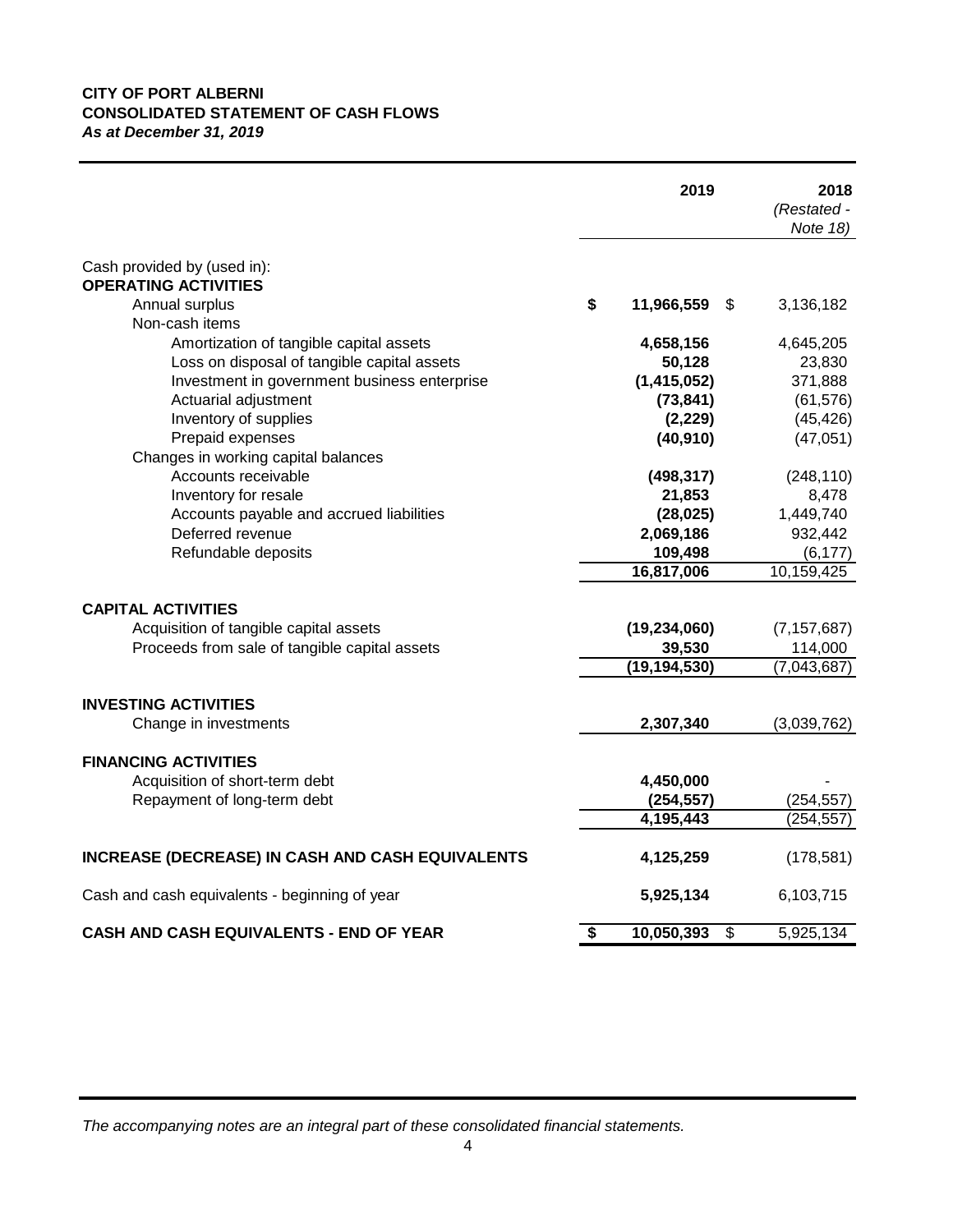# **CITY OF PORT ALBERNI CONSOLIDATED STATEMENT OF CASH FLOWS**  *As at December 31, 2019*

|                                                  | 2019                   | 2018<br>(Restated -<br>Note 18) |
|--------------------------------------------------|------------------------|---------------------------------|
| Cash provided by (used in):                      |                        |                                 |
| <b>OPERATING ACTIVITIES</b>                      |                        |                                 |
| Annual surplus                                   | \$<br>11,966,559 \$    | 3,136,182                       |
| Non-cash items                                   |                        |                                 |
| Amortization of tangible capital assets          | 4,658,156              | 4,645,205                       |
| Loss on disposal of tangible capital assets      | 50,128                 | 23,830                          |
| Investment in government business enterprise     | (1, 415, 052)          | 371,888                         |
| Actuarial adjustment                             | (73, 841)              | (61, 576)                       |
| Inventory of supplies                            | (2, 229)               | (45, 426)                       |
| Prepaid expenses                                 | (40, 910)              | (47, 051)                       |
| Changes in working capital balances              |                        |                                 |
| Accounts receivable                              | (498, 317)             | (248, 110)                      |
| Inventory for resale                             | 21,853                 | 8,478                           |
| Accounts payable and accrued liabilities         | (28, 025)              | 1,449,740                       |
| Deferred revenue                                 | 2,069,186              | 932,442                         |
| Refundable deposits                              | 109,498                | (6, 177)                        |
|                                                  | 16,817,006             | 10,159,425                      |
| <b>CAPITAL ACTIVITIES</b>                        |                        |                                 |
| Acquisition of tangible capital assets           | (19, 234, 060)         | (7, 157, 687)                   |
| Proceeds from sale of tangible capital assets    | 39,530                 | 114,000                         |
|                                                  | (19, 194, 530)         | (7,043,687)                     |
| <b>INVESTING ACTIVITIES</b>                      |                        |                                 |
| Change in investments                            | 2,307,340              | (3,039,762)                     |
|                                                  |                        |                                 |
| <b>FINANCING ACTIVITIES</b>                      |                        |                                 |
| Acquisition of short-term debt                   | 4,450,000              |                                 |
| Repayment of long-term debt                      | (254, 557)             | (254, 557)                      |
|                                                  | 4,195,443              | (254, 557)                      |
| INCREASE (DECREASE) IN CASH AND CASH EQUIVALENTS | 4,125,259              | (178, 581)                      |
| Cash and cash equivalents - beginning of year    | 5,925,134              | 6,103,715                       |
| CASH AND CASH EQUIVALENTS - END OF YEAR          | \$<br>10,050,393<br>\$ | 5,925,134                       |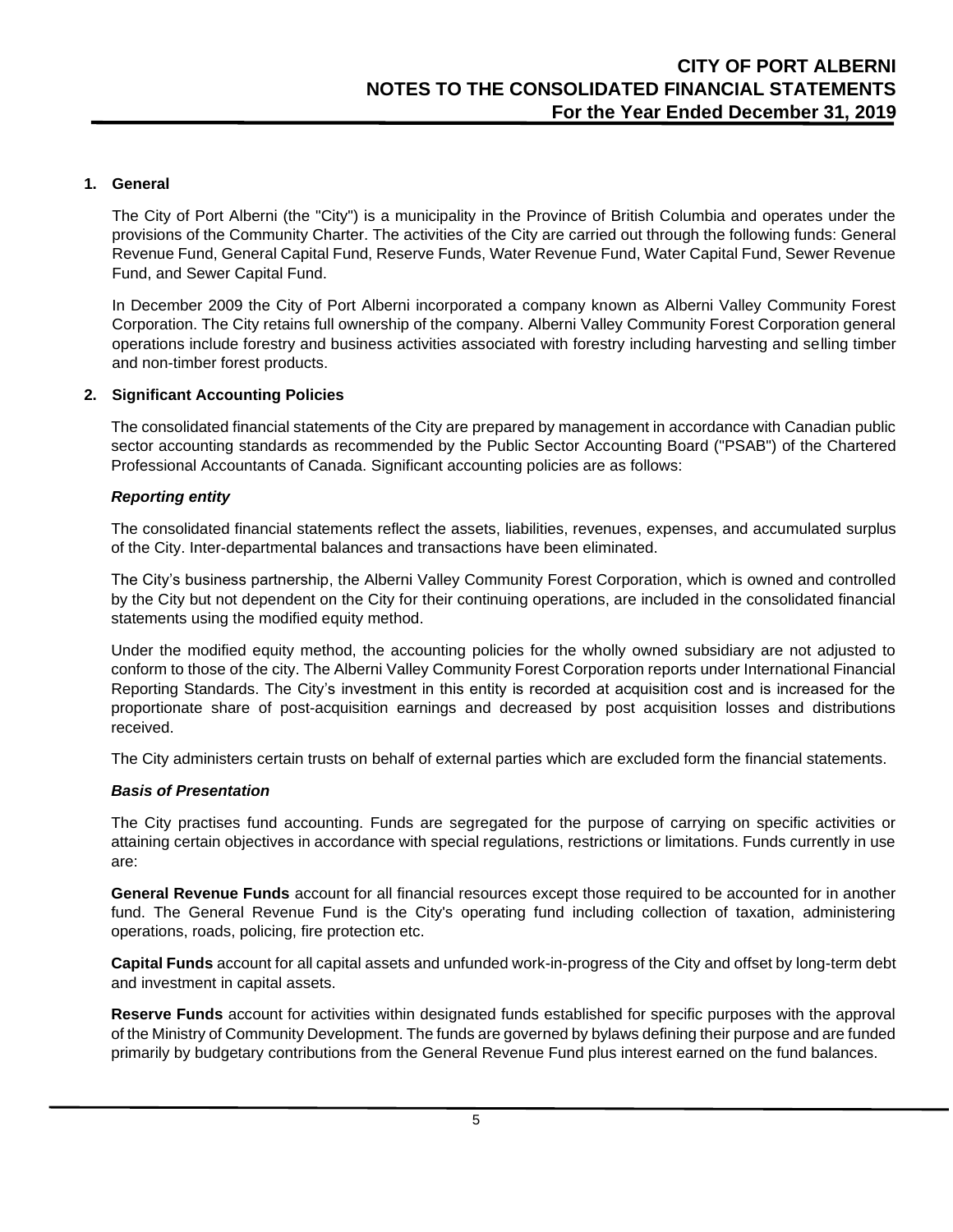# **1. General**

The City of Port Alberni (the "City") is a municipality in the Province of British Columbia and operates under the provisions of the Community Charter. The activities of the City are carried out through the following funds: General Revenue Fund, General Capital Fund, Reserve Funds, Water Revenue Fund, Water Capital Fund, Sewer Revenue Fund, and Sewer Capital Fund.

In December 2009 the City of Port Alberni incorporated a company known as Alberni Valley Community Forest Corporation. The City retains full ownership of the company. Alberni Valley Community Forest Corporation general operations include forestry and business activities associated with forestry including harvesting and selling timber and non-timber forest products.

# **2. Significant Accounting Policies**

The consolidated financial statements of the City are prepared by management in accordance with Canadian public sector accounting standards as recommended by the Public Sector Accounting Board ("PSAB") of the Chartered Professional Accountants of Canada. Significant accounting policies are as follows:

# *Reporting entity*

The consolidated financial statements reflect the assets, liabilities, revenues, expenses, and accumulated surplus of the City. Inter-departmental balances and transactions have been eliminated.

The City's business partnership, the Alberni Valley Community Forest Corporation, which is owned and controlled by the City but not dependent on the City for their continuing operations, are included in the consolidated financial statements using the modified equity method.

Under the modified equity method, the accounting policies for the wholly owned subsidiary are not adjusted to conform to those of the city. The Alberni Valley Community Forest Corporation reports under International Financial Reporting Standards. The City's investment in this entity is recorded at acquisition cost and is increased for the proportionate share of post-acquisition earnings and decreased by post acquisition losses and distributions received.

The City administers certain trusts on behalf of external parties which are excluded form the financial statements.

# *Basis of Presentation*

The City practises fund accounting. Funds are segregated for the purpose of carrying on specific activities or attaining certain objectives in accordance with special regulations, restrictions or limitations. Funds currently in use are:

**General Revenue Funds** account for all financial resources except those required to be accounted for in another fund. The General Revenue Fund is the City's operating fund including collection of taxation, administering operations, roads, policing, fire protection etc.

**Capital Funds** account for all capital assets and unfunded work-in-progress of the City and offset by long-term debt and investment in capital assets.

**Reserve Funds** account for activities within designated funds established for specific purposes with the approval of the Ministry of Community Development. The funds are governed by bylaws defining their purpose and are funded primarily by budgetary contributions from the General Revenue Fund plus interest earned on the fund balances.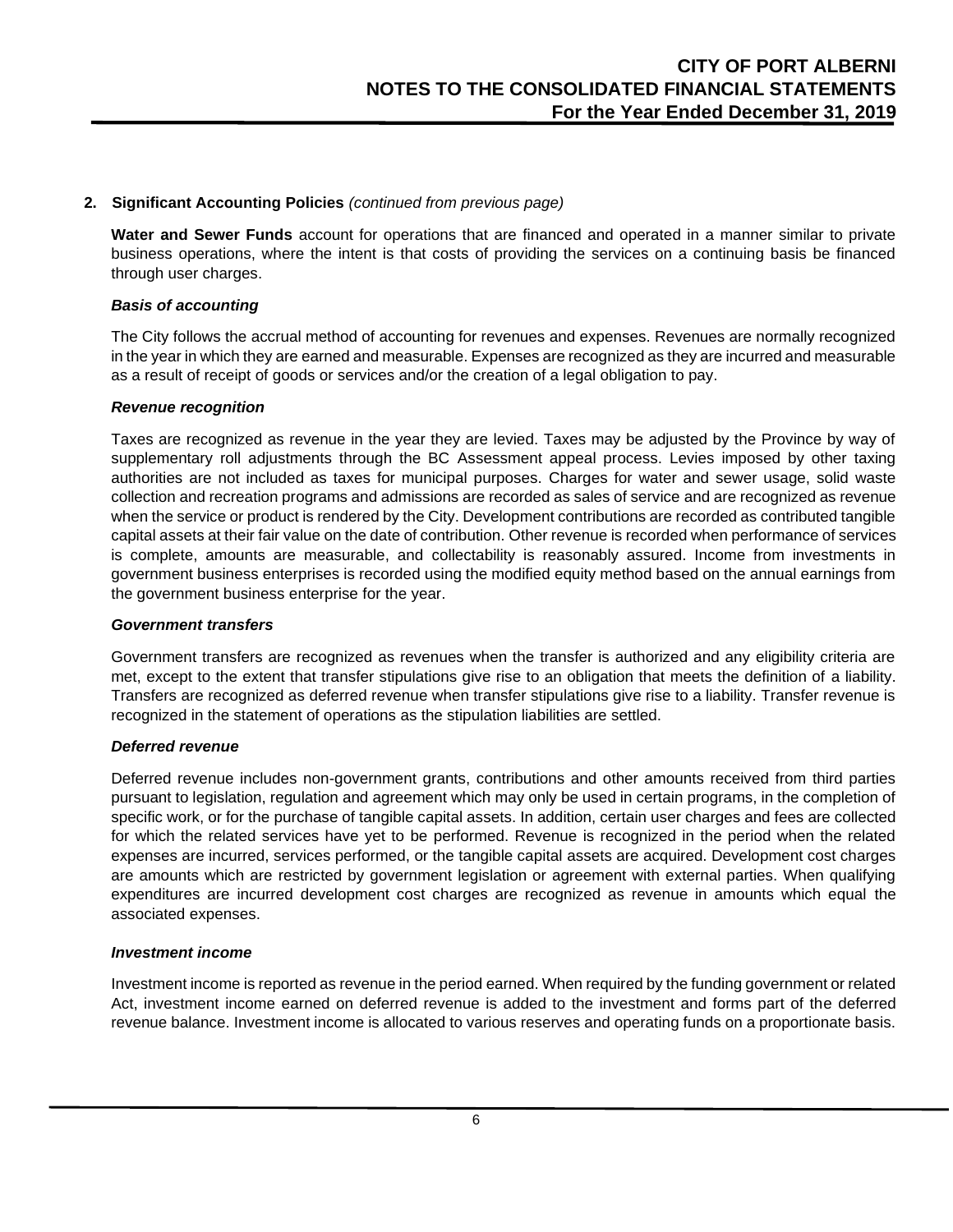# **2. Significant Accounting Policies** *(continued from previous page)*

**Water and Sewer Funds** account for operations that are financed and operated in a manner similar to private business operations, where the intent is that costs of providing the services on a continuing basis be financed through user charges.

# *Basis of accounting*

The City follows the accrual method of accounting for revenues and expenses. Revenues are normally recognized in the year in which they are earned and measurable. Expenses are recognized as they are incurred and measurable as a result of receipt of goods or services and/or the creation of a legal obligation to pay.

# *Revenue recognition*

Taxes are recognized as revenue in the year they are levied. Taxes may be adjusted by the Province by way of supplementary roll adjustments through the BC Assessment appeal process. Levies imposed by other taxing authorities are not included as taxes for municipal purposes. Charges for water and sewer usage, solid waste collection and recreation programs and admissions are recorded as sales of service and are recognized as revenue when the service or product is rendered by the City. Development contributions are recorded as contributed tangible capital assets at their fair value on the date of contribution. Other revenue is recorded when performance of services is complete, amounts are measurable, and collectability is reasonably assured. Income from investments in government business enterprises is recorded using the modified equity method based on the annual earnings from the government business enterprise for the year.

# *Government transfers*

Government transfers are recognized as revenues when the transfer is authorized and any eligibility criteria are met, except to the extent that transfer stipulations give rise to an obligation that meets the definition of a liability. Transfers are recognized as deferred revenue when transfer stipulations give rise to a liability. Transfer revenue is recognized in the statement of operations as the stipulation liabilities are settled.

# *Deferred revenue*

Deferred revenue includes non-government grants, contributions and other amounts received from third parties pursuant to legislation, regulation and agreement which may only be used in certain programs, in the completion of specific work, or for the purchase of tangible capital assets. In addition, certain user charges and fees are collected for which the related services have yet to be performed. Revenue is recognized in the period when the related expenses are incurred, services performed, or the tangible capital assets are acquired. Development cost charges are amounts which are restricted by government legislation or agreement with external parties. When qualifying expenditures are incurred development cost charges are recognized as revenue in amounts which equal the associated expenses.

# *Investment income*

Investment income is reported as revenue in the period earned. When required by the funding government or related Act, investment income earned on deferred revenue is added to the investment and forms part of the deferred revenue balance. Investment income is allocated to various reserves and operating funds on a proportionate basis.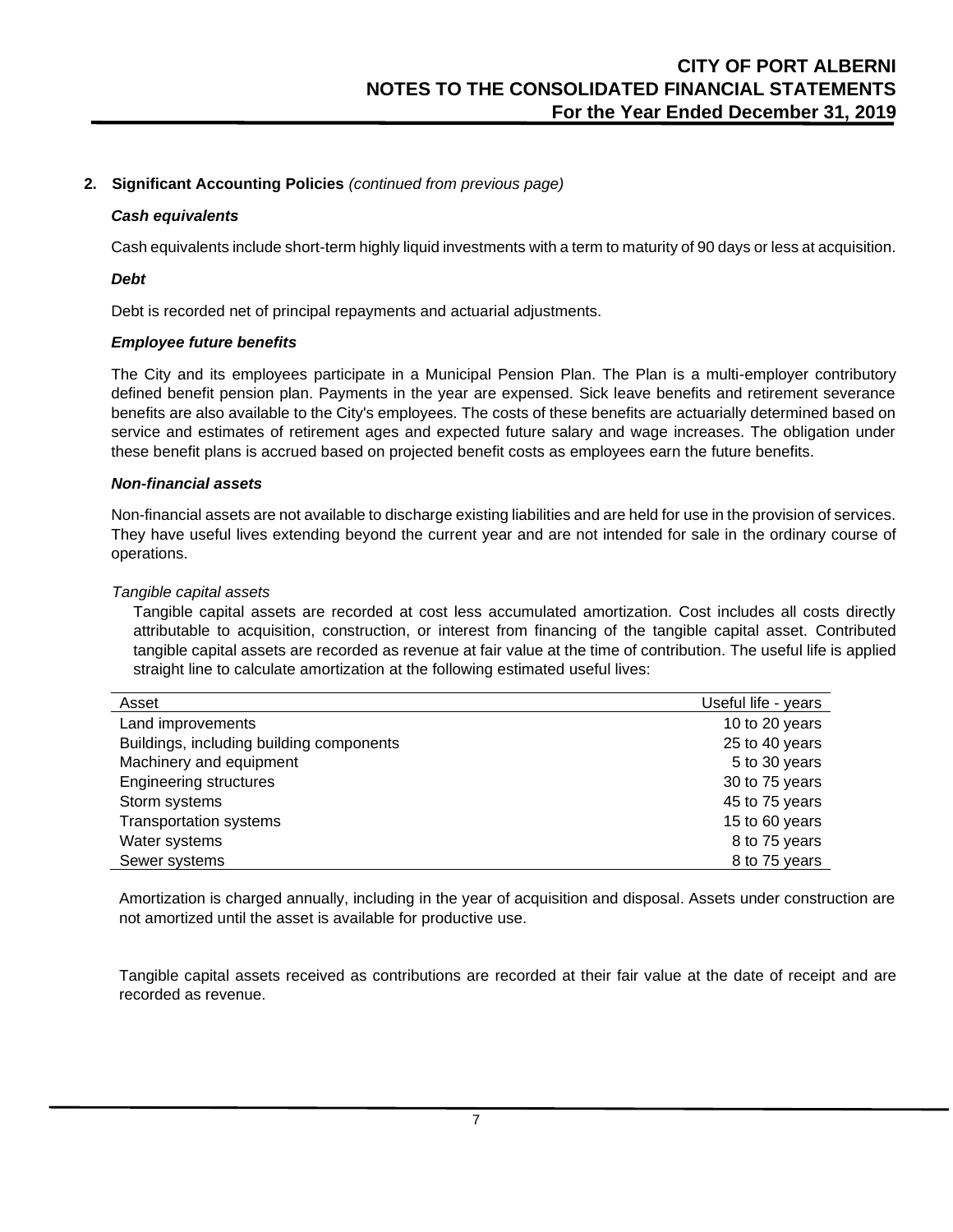# **2. Significant Accounting Policies** *(continued from previous page)*

#### *Cash equivalents*

Cash equivalents include short-term highly liquid investments with a term to maturity of 90 days or less at acquisition.

#### *Debt*

Debt is recorded net of principal repayments and actuarial adjustments.

#### *Employee future benefits*

The City and its employees participate in a Municipal Pension Plan. The Plan is a multi-employer contributory defined benefit pension plan. Payments in the year are expensed. Sick leave benefits and retirement severance benefits are also available to the City's employees. The costs of these benefits are actuarially determined based on service and estimates of retirement ages and expected future salary and wage increases. The obligation under these benefit plans is accrued based on projected benefit costs as employees earn the future benefits.

#### *Non-financial assets*

Non-financial assets are not available to discharge existing liabilities and are held for use in the provision of services. They have useful lives extending beyond the current year and are not intended for sale in the ordinary course of operations.

#### *Tangible capital assets*

Tangible capital assets are recorded at cost less accumulated amortization. Cost includes all costs directly attributable to acquisition, construction, or interest from financing of the tangible capital asset. Contributed tangible capital assets are recorded as revenue at fair value at the time of contribution. The useful life is applied straight line to calculate amortization at the following estimated useful lives:

| Asset                                    | Useful life - years |
|------------------------------------------|---------------------|
| Land improvements                        | 10 to 20 years      |
| Buildings, including building components | 25 to 40 years      |
| Machinery and equipment                  | 5 to 30 years       |
| <b>Engineering structures</b>            | 30 to 75 years      |
| Storm systems                            | 45 to 75 years      |
| Transportation systems                   | 15 to 60 years      |
| Water systems                            | 8 to 75 years       |
| Sewer systems                            | 8 to 75 years       |

Amortization is charged annually, including in the year of acquisition and disposal. Assets under construction are not amortized until the asset is available for productive use.

Tangible capital assets received as contributions are recorded at their fair value at the date of receipt and are recorded as revenue.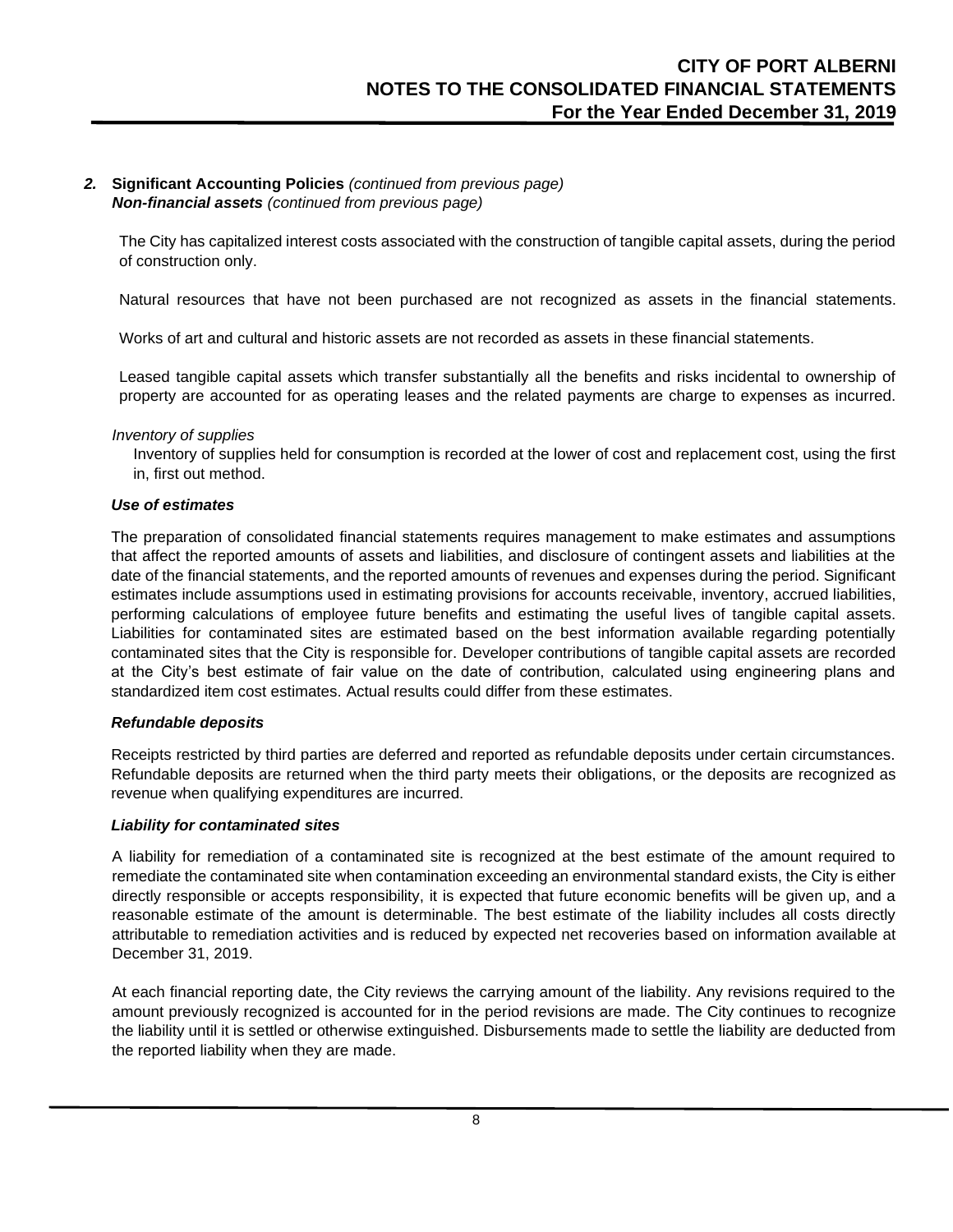#### *2.* **Significant Accounting Policies** *(continued from previous page) Non-financial assets (continued from previous page)*

The City has capitalized interest costs associated with the construction of tangible capital assets, during the period of construction only.

Natural resources that have not been purchased are not recognized as assets in the financial statements.

Works of art and cultural and historic assets are not recorded as assets in these financial statements.

Leased tangible capital assets which transfer substantially all the benefits and risks incidental to ownership of property are accounted for as operating leases and the related payments are charge to expenses as incurred.

#### *Inventory of supplies*

Inventory of supplies held for consumption is recorded at the lower of cost and replacement cost, using the first in, first out method.

#### *Use of estimates*

The preparation of consolidated financial statements requires management to make estimates and assumptions that affect the reported amounts of assets and liabilities, and disclosure of contingent assets and liabilities at the date of the financial statements, and the reported amounts of revenues and expenses during the period. Significant estimates include assumptions used in estimating provisions for accounts receivable, inventory, accrued liabilities, performing calculations of employee future benefits and estimating the useful lives of tangible capital assets. Liabilities for contaminated sites are estimated based on the best information available regarding potentially contaminated sites that the City is responsible for. Developer contributions of tangible capital assets are recorded at the City's best estimate of fair value on the date of contribution, calculated using engineering plans and standardized item cost estimates. Actual results could differ from these estimates.

#### *Refundable deposits*

Receipts restricted by third parties are deferred and reported as refundable deposits under certain circumstances. Refundable deposits are returned when the third party meets their obligations, or the deposits are recognized as revenue when qualifying expenditures are incurred.

#### *Liability for contaminated sites*

A liability for remediation of a contaminated site is recognized at the best estimate of the amount required to remediate the contaminated site when contamination exceeding an environmental standard exists, the City is either directly responsible or accepts responsibility, it is expected that future economic benefits will be given up, and a reasonable estimate of the amount is determinable. The best estimate of the liability includes all costs directly attributable to remediation activities and is reduced by expected net recoveries based on information available at December 31, 2019.

At each financial reporting date, the City reviews the carrying amount of the liability. Any revisions required to the amount previously recognized is accounted for in the period revisions are made. The City continues to recognize the liability until it is settled or otherwise extinguished. Disbursements made to settle the liability are deducted from the reported liability when they are made.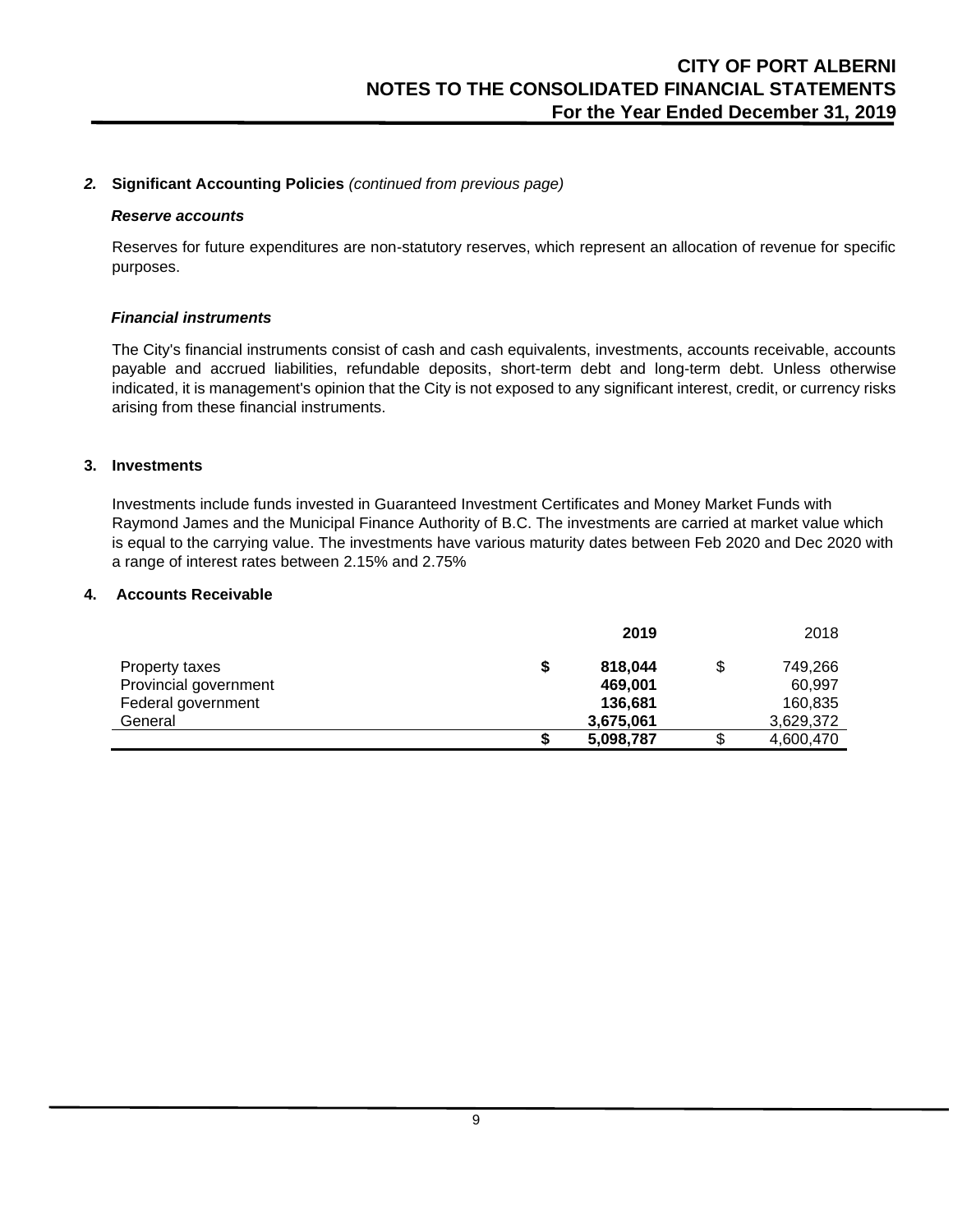#### *2.* **Significant Accounting Policies** *(continued from previous page)*

#### *Reserve accounts*

Reserves for future expenditures are non-statutory reserves, which represent an allocation of revenue for specific purposes.

#### *Financial instruments*

The City's financial instruments consist of cash and cash equivalents, investments, accounts receivable, accounts payable and accrued liabilities, refundable deposits, short-term debt and long-term debt. Unless otherwise indicated, it is management's opinion that the City is not exposed to any significant interest, credit, or currency risks arising from these financial instruments.

#### **3. Investments**

Investments include funds invested in Guaranteed Investment Certificates and Money Market Funds with Raymond James and the Municipal Finance Authority of B.C. The investments are carried at market value which is equal to the carrying value. The investments have various maturity dates between Feb 2020 and Dec 2020 with a range of interest rates between 2.15% and 2.75%

#### **4. Accounts Receivable**

|                       |   | 2019      | 2018            |
|-----------------------|---|-----------|-----------------|
| Property taxes        | S | 818,044   | \$<br>749,266   |
| Provincial government |   | 469,001   | 60.997          |
| Federal government    |   | 136,681   | 160,835         |
| General               |   | 3,675,061 | 3,629,372       |
|                       |   | 5,098,787 | \$<br>4,600,470 |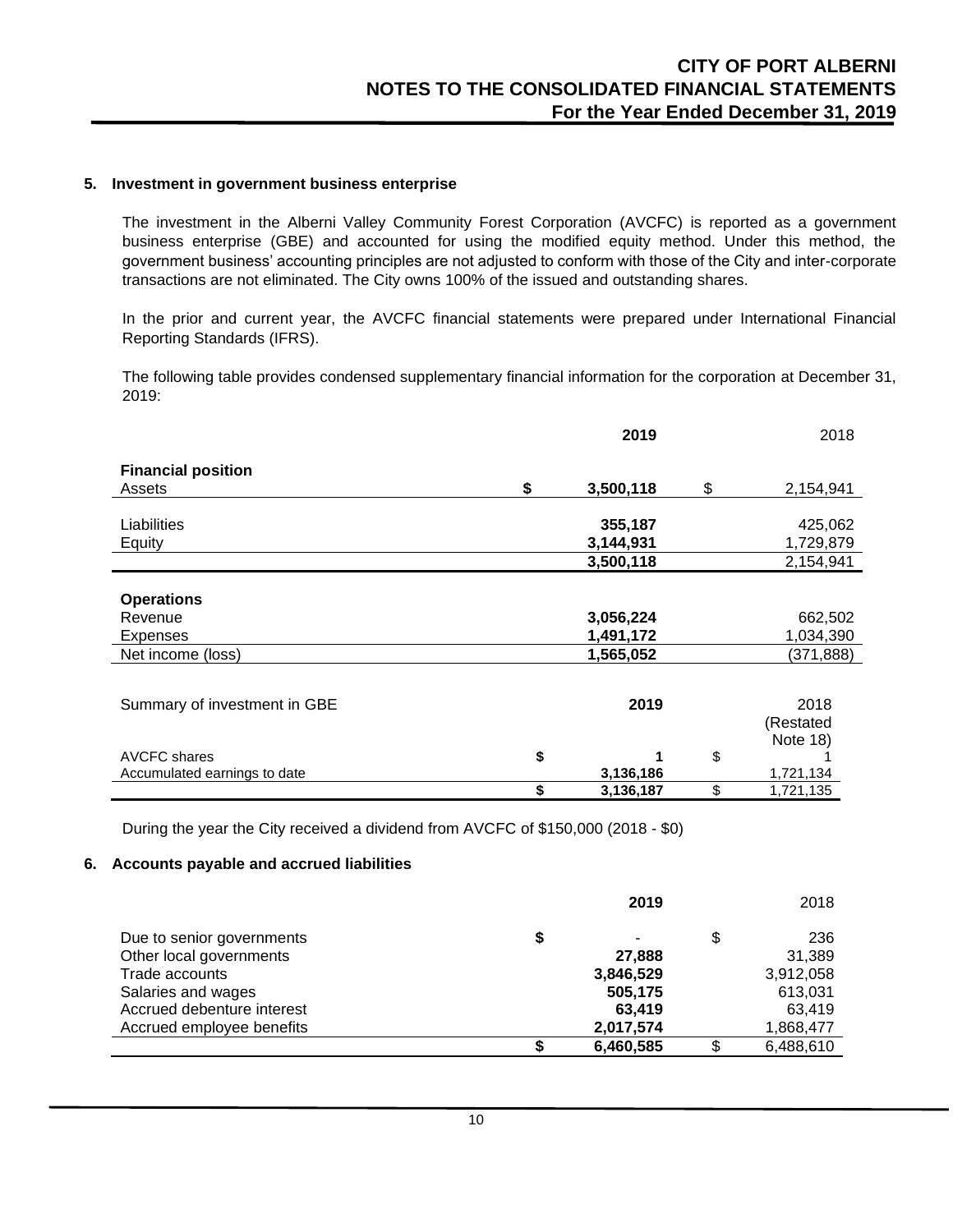#### **5. Investment in government business enterprise**

The investment in the Alberni Valley Community Forest Corporation (AVCFC) is reported as a government business enterprise (GBE) and accounted for using the modified equity method. Under this method, the government business' accounting principles are not adjusted to conform with those of the City and inter-corporate transactions are not eliminated. The City owns 100% of the issued and outstanding shares.

In the prior and current year, the AVCFC financial statements were prepared under International Financial Reporting Standards (IFRS).

The following table provides condensed supplementary financial information for the corporation at December 31, 2019:

| 2019            |                 | 2018       |
|-----------------|-----------------|------------|
|                 |                 |            |
| \$<br>3,500,118 | \$              | 2,154,941  |
|                 |                 |            |
|                 |                 | 425,062    |
| 3,144,931       |                 | 1,729,879  |
| 3,500,118       |                 | 2,154,941  |
|                 |                 |            |
|                 |                 |            |
| 3,056,224       |                 | 662,502    |
| 1,491,172       |                 | 1,034,390  |
| 1,565,052       |                 | (371, 888) |
|                 |                 |            |
|                 |                 |            |
|                 |                 | 2018       |
|                 |                 | (Restated  |
|                 |                 | Note 18)   |
| \$<br>1         | \$              |            |
| 3,136,186       |                 | 1,721,134  |
| \$<br>3,136,187 | \$              | 1,721,135  |
|                 | 355,187<br>2019 |            |

During the year the City received a dividend from AVCFC of \$150,000 (2018 - \$0)

#### **6. Accounts payable and accrued liabilities**

|                            | 2019      | 2018            |
|----------------------------|-----------|-----------------|
| Due to senior governments  | \$        | \$<br>236       |
| Other local governments    | 27,888    | 31,389          |
| Trade accounts             | 3,846,529 | 3,912,058       |
| Salaries and wages         | 505,175   | 613,031         |
| Accrued debenture interest | 63,419    | 63.419          |
| Accrued employee benefits  | 2,017,574 | 1,868,477       |
|                            | 6,460,585 | \$<br>6,488,610 |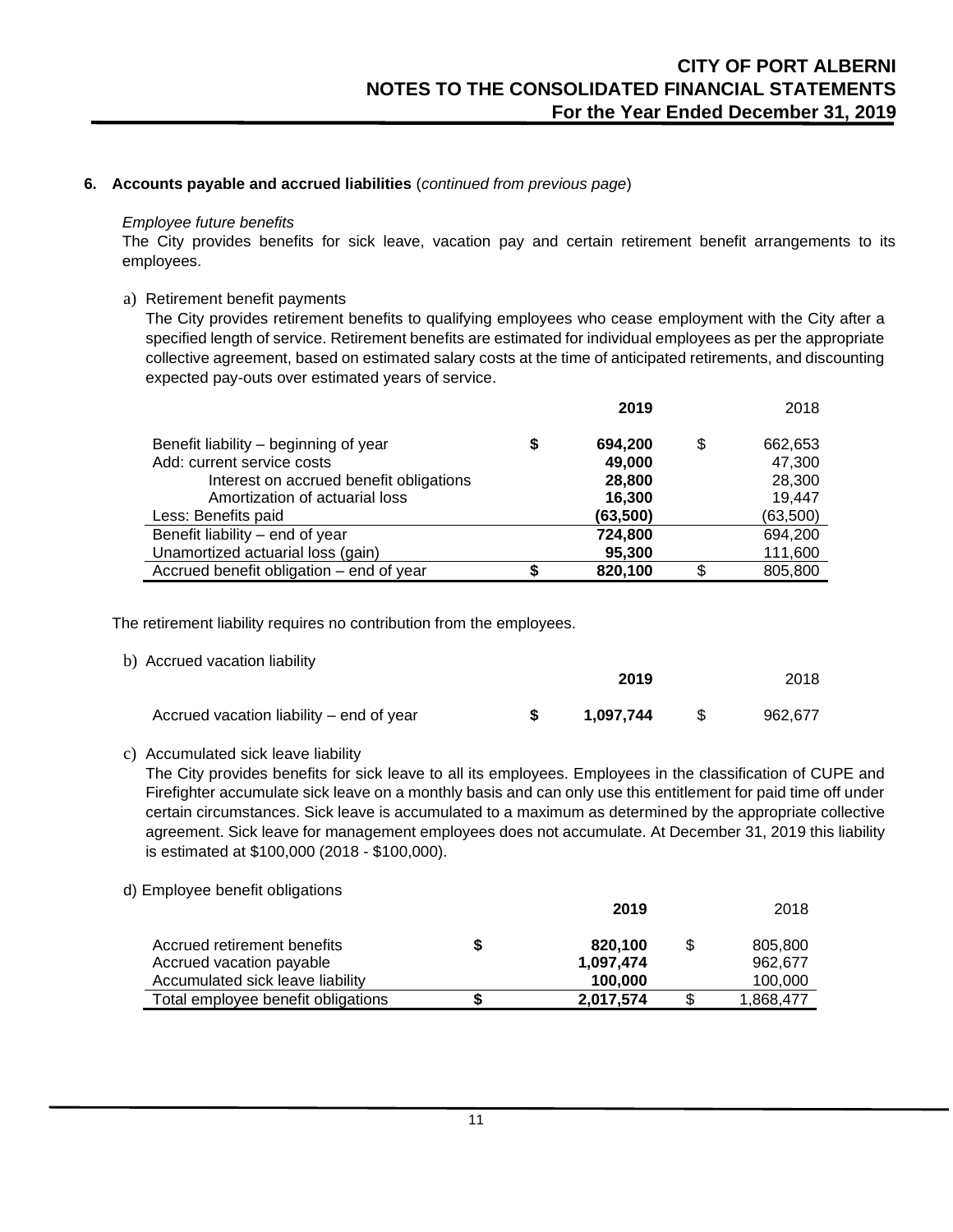# **6. Accounts payable and accrued liabilities** (*continued from previous page*)

#### *Employee future benefits*

The City provides benefits for sick leave, vacation pay and certain retirement benefit arrangements to its employees.

#### a) Retirement benefit payments

The City provides retirement benefits to qualifying employees who cease employment with the City after a specified length of service. Retirement benefits are estimated for individual employees as per the appropriate collective agreement, based on estimated salary costs at the time of anticipated retirements, and discounting expected pay-outs over estimated years of service.

|                                                                       |    | 2019                |    | 2018               |
|-----------------------------------------------------------------------|----|---------------------|----|--------------------|
| Benefit liability - beginning of year                                 | \$ | 694.200             | \$ | 662,653            |
| Add: current service costs<br>Interest on accrued benefit obligations |    | 49,000<br>28,800    |    | 47,300<br>28,300   |
| Amortization of actuarial loss<br>Less: Benefits paid                 |    | 16.300<br>(63, 500) |    | 19,447<br>(63,500) |
| Benefit liability – end of year                                       |    | 724,800             |    | 694,200            |
| Unamortized actuarial loss (gain)                                     |    | 95,300              |    | 111,600            |
| Accrued benefit obligation – end of year                              | S  | 820,100             | £. | 805,800            |

The retirement liability requires no contribution from the employees.

| b) Accrued vacation liability            | 2019      | 2018    |
|------------------------------------------|-----------|---------|
| Accrued vacation liability – end of year | 1.097.744 | 962.677 |

c) Accumulated sick leave liability

The City provides benefits for sick leave to all its employees. Employees in the classification of CUPE and Firefighter accumulate sick leave on a monthly basis and can only use this entitlement for paid time off under certain circumstances. Sick leave is accumulated to a maximum as determined by the appropriate collective agreement. Sick leave for management employees does not accumulate. At December 31, 2019 this liability is estimated at \$100,000 (2018 - \$100,000).

| d) Employee benefit obligations    |   |           |           |
|------------------------------------|---|-----------|-----------|
|                                    |   | 2019      | 2018      |
| Accrued retirement benefits        | S | 820,100   | 805.800   |
| Accrued vacation payable           |   | 1,097,474 | 962.677   |
| Accumulated sick leave liability   |   | 100,000   | 100,000   |
| Total employee benefit obligations |   | 2,017,574 | 1,868,477 |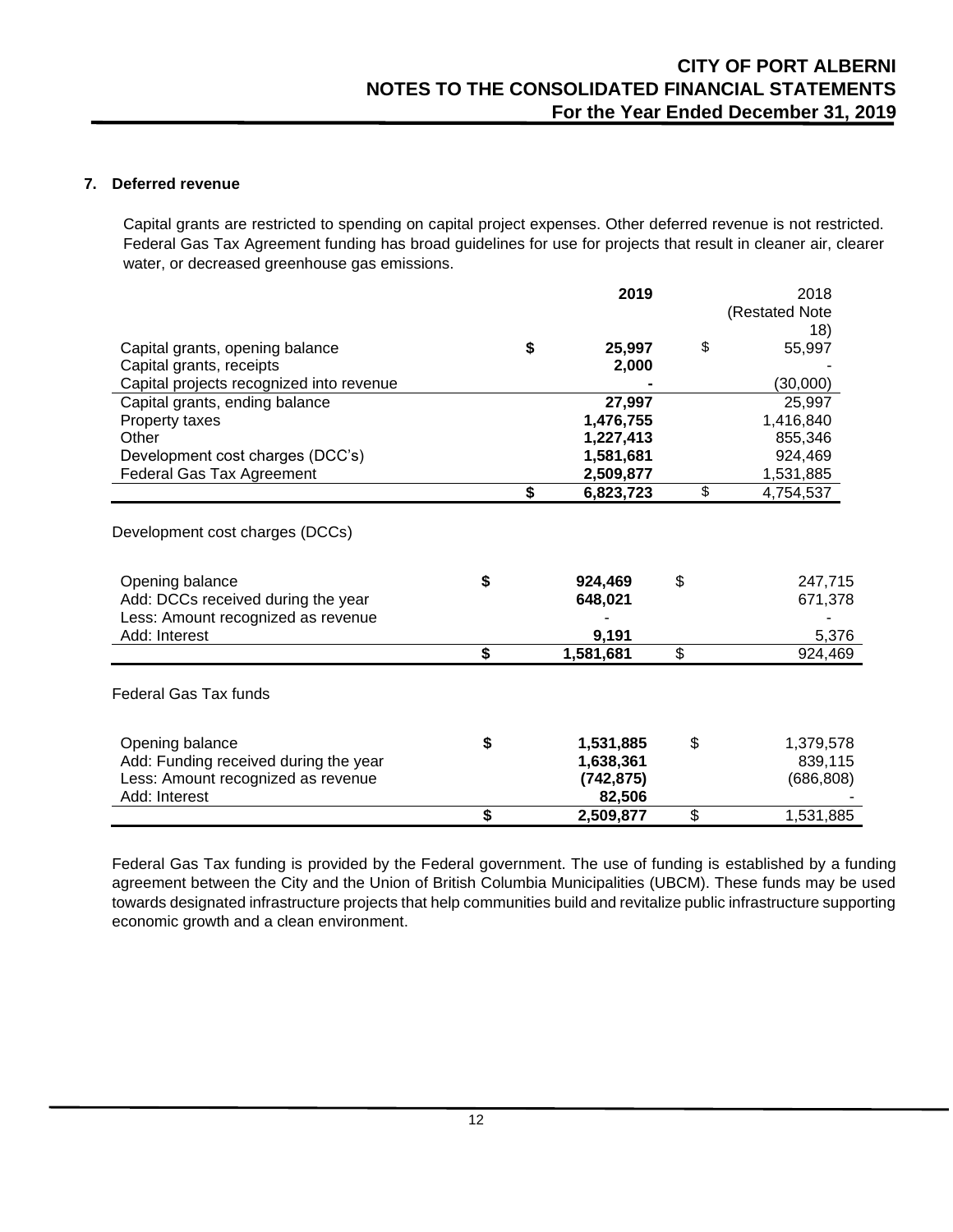# **7. Deferred revenue**

Capital grants are restricted to spending on capital project expenses. Other deferred revenue is not restricted. Federal Gas Tax Agreement funding has broad guidelines for use for projects that result in cleaner air, clearer water, or decreased greenhouse gas emissions.

|                                                                                                                                |    | 2019               | 2018                     |
|--------------------------------------------------------------------------------------------------------------------------------|----|--------------------|--------------------------|
|                                                                                                                                |    |                    | (Restated Note           |
|                                                                                                                                |    |                    | 18)                      |
| Capital grants, opening balance                                                                                                | \$ | 25,997             | \$<br>55,997             |
| Capital grants, receipts                                                                                                       |    | 2,000              |                          |
| Capital projects recognized into revenue                                                                                       |    |                    | (30,000)                 |
| Capital grants, ending balance                                                                                                 |    | 27,997             | 25,997                   |
| Property taxes                                                                                                                 |    | 1,476,755          | 1,416,840                |
| Other                                                                                                                          |    | 1,227,413          | 855,346                  |
| Development cost charges (DCC's)                                                                                               |    | 1,581,681          | 924,469                  |
| <b>Federal Gas Tax Agreement</b>                                                                                               |    | 2,509,877          | 1,531,885                |
|                                                                                                                                | \$ | 6,823,723          | \$<br>4,754,537          |
| Development cost charges (DCCs)<br>Opening balance<br>Add: DCCs received during the year<br>Less: Amount recognized as revenue | \$ | 924,469<br>648,021 | \$<br>247,715<br>671,378 |
| Add: Interest                                                                                                                  |    | 9,191              | 5,376                    |
|                                                                                                                                | \$ | 1,581,681          | \$<br>924,469            |
| <b>Federal Gas Tax funds</b>                                                                                                   |    |                    |                          |
| Opening balance                                                                                                                | \$ | 1,531,885          | \$<br>1,379,578          |
| Add: Funding received during the year                                                                                          |    | 1,638,361          | 839,115                  |
| Less: Amount recognized as revenue                                                                                             |    | (742, 875)         | (686, 808)               |
| Add: Interest                                                                                                                  |    | 82,506             |                          |
|                                                                                                                                | \$ | 2,509,877          | \$<br>1,531,885          |

Federal Gas Tax funding is provided by the Federal government. The use of funding is established by a funding agreement between the City and the Union of British Columbia Municipalities (UBCM). These funds may be used towards designated infrastructure projects that help communities build and revitalize public infrastructure supporting economic growth and a clean environment.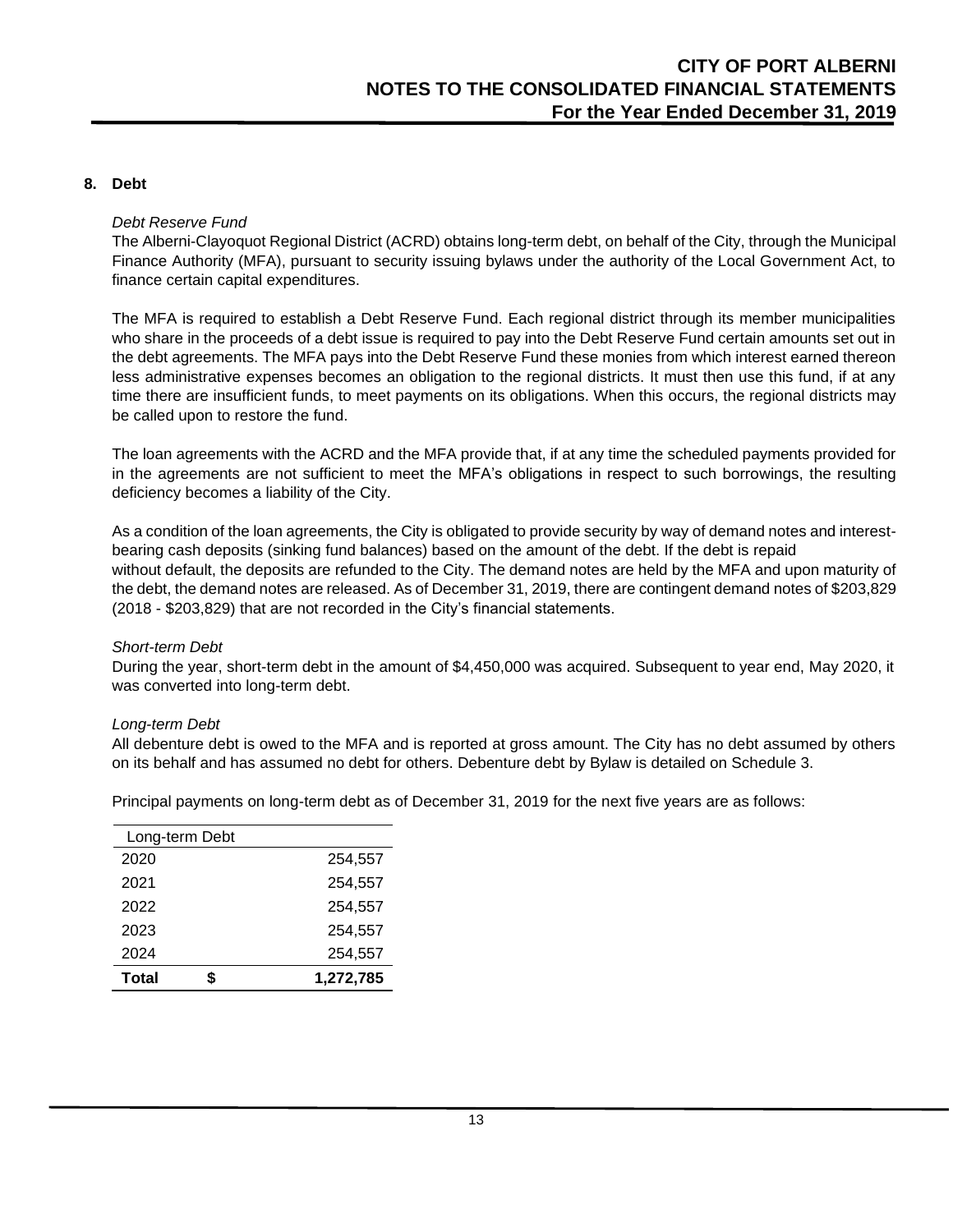# **8. Debt**

# *Debt Reserve Fund*

The Alberni-Clayoquot Regional District (ACRD) obtains long-term debt, on behalf of the City, through the Municipal Finance Authority (MFA), pursuant to security issuing bylaws under the authority of the Local Government Act, to finance certain capital expenditures.

The MFA is required to establish a Debt Reserve Fund. Each regional district through its member municipalities who share in the proceeds of a debt issue is required to pay into the Debt Reserve Fund certain amounts set out in the debt agreements. The MFA pays into the Debt Reserve Fund these monies from which interest earned thereon less administrative expenses becomes an obligation to the regional districts. It must then use this fund, if at any time there are insufficient funds, to meet payments on its obligations. When this occurs, the regional districts may be called upon to restore the fund.

The loan agreements with the ACRD and the MFA provide that, if at any time the scheduled payments provided for in the agreements are not sufficient to meet the MFA's obligations in respect to such borrowings, the resulting deficiency becomes a liability of the City.

As a condition of the loan agreements, the City is obligated to provide security by way of demand notes and interestbearing cash deposits (sinking fund balances) based on the amount of the debt. If the debt is repaid without default, the deposits are refunded to the City. The demand notes are held by the MFA and upon maturity of the debt, the demand notes are released. As of December 31, 2019, there are contingent demand notes of \$203,829 (2018 - \$203,829) that are not recorded in the City's financial statements.

# *Short-term Debt*

During the year, short-term debt in the amount of \$4,450,000 was acquired. Subsequent to year end, May 2020, it was converted into long-term debt.

#### *Long-term Debt*

All debenture debt is owed to the MFA and is reported at gross amount. The City has no debt assumed by others on its behalf and has assumed no debt for others. Debenture debt by Bylaw is detailed on Schedule 3.

Principal payments on long-term debt as of December 31, 2019 for the next five years are as follows:

|              | Long-term Debt |           |
|--------------|----------------|-----------|
| 2020         |                | 254,557   |
| 2021         |                | 254,557   |
| 2022         |                | 254,557   |
| 2023         |                | 254,557   |
| 2024         |                | 254,557   |
| <b>Total</b> | ς              | 1,272,785 |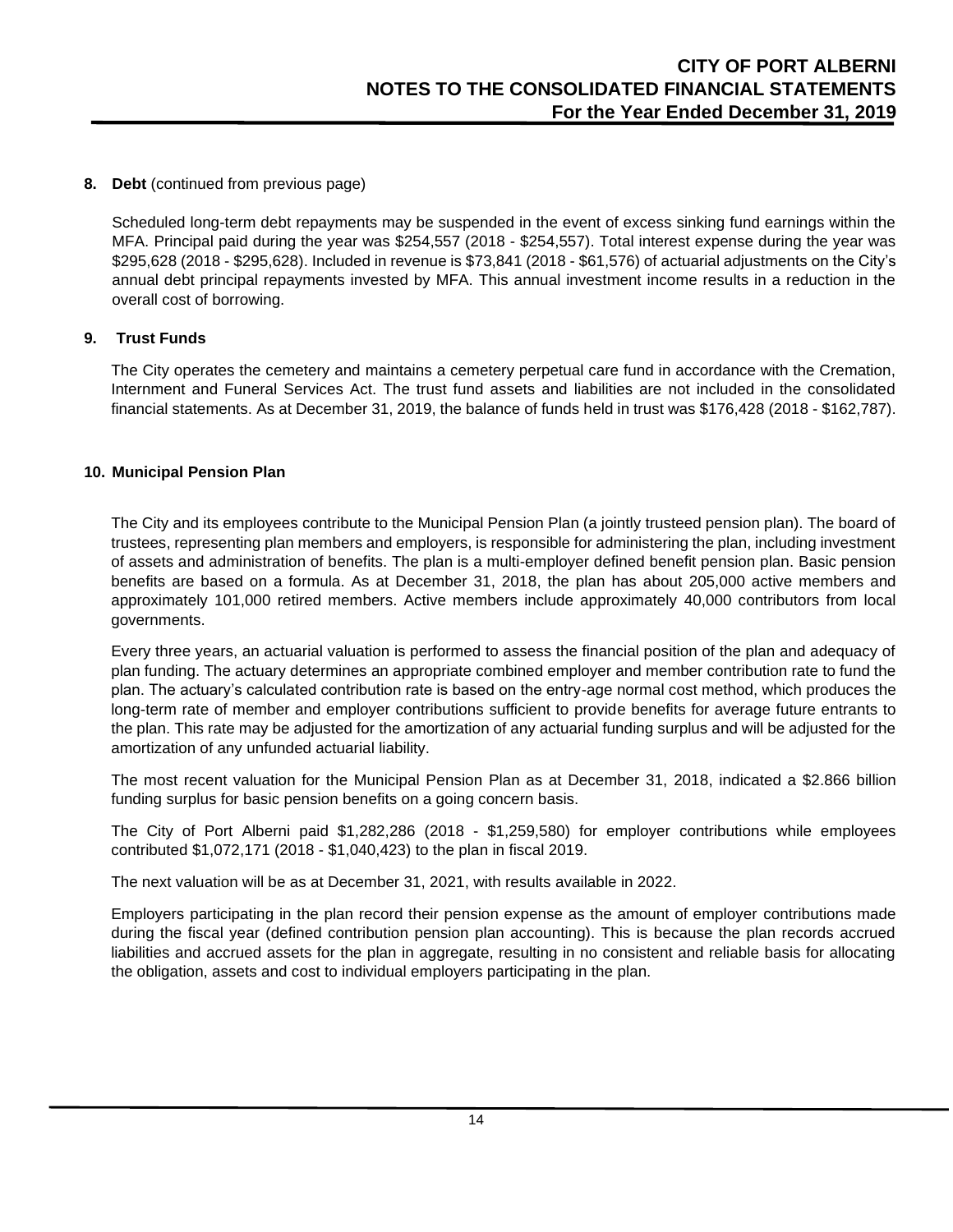# **8. Debt** (continued from previous page)

Scheduled long-term debt repayments may be suspended in the event of excess sinking fund earnings within the MFA. Principal paid during the year was \$254,557 (2018 - \$254,557). Total interest expense during the year was \$295,628 (2018 - \$295,628). Included in revenue is \$73,841 (2018 - \$61,576) of actuarial adjustments on the City's annual debt principal repayments invested by MFA. This annual investment income results in a reduction in the overall cost of borrowing.

# **9. Trust Funds**

The City operates the cemetery and maintains a cemetery perpetual care fund in accordance with the Cremation, Internment and Funeral Services Act. The trust fund assets and liabilities are not included in the consolidated financial statements. As at December 31, 2019, the balance of funds held in trust was \$176,428 (2018 - \$162,787).

# **10. Municipal Pension Plan**

The City and its employees contribute to the Municipal Pension Plan (a jointly trusteed pension plan). The board of trustees, representing plan members and employers, is responsible for administering the plan, including investment of assets and administration of benefits. The plan is a multi-employer defined benefit pension plan. Basic pension benefits are based on a formula. As at December 31, 2018, the plan has about 205,000 active members and approximately 101,000 retired members. Active members include approximately 40,000 contributors from local governments.

Every three years, an actuarial valuation is performed to assess the financial position of the plan and adequacy of plan funding. The actuary determines an appropriate combined employer and member contribution rate to fund the plan. The actuary's calculated contribution rate is based on the entry-age normal cost method, which produces the long-term rate of member and employer contributions sufficient to provide benefits for average future entrants to the plan. This rate may be adjusted for the amortization of any actuarial funding surplus and will be adjusted for the amortization of any unfunded actuarial liability.

The most recent valuation for the Municipal Pension Plan as at December 31, 2018, indicated a \$2.866 billion funding surplus for basic pension benefits on a going concern basis.

The City of Port Alberni paid \$1,282,286 (2018 - \$1,259,580) for employer contributions while employees contributed \$1,072,171 (2018 - \$1,040,423) to the plan in fiscal 2019.

The next valuation will be as at December 31, 2021, with results available in 2022.

Employers participating in the plan record their pension expense as the amount of employer contributions made during the fiscal year (defined contribution pension plan accounting). This is because the plan records accrued liabilities and accrued assets for the plan in aggregate, resulting in no consistent and reliable basis for allocating the obligation, assets and cost to individual employers participating in the plan.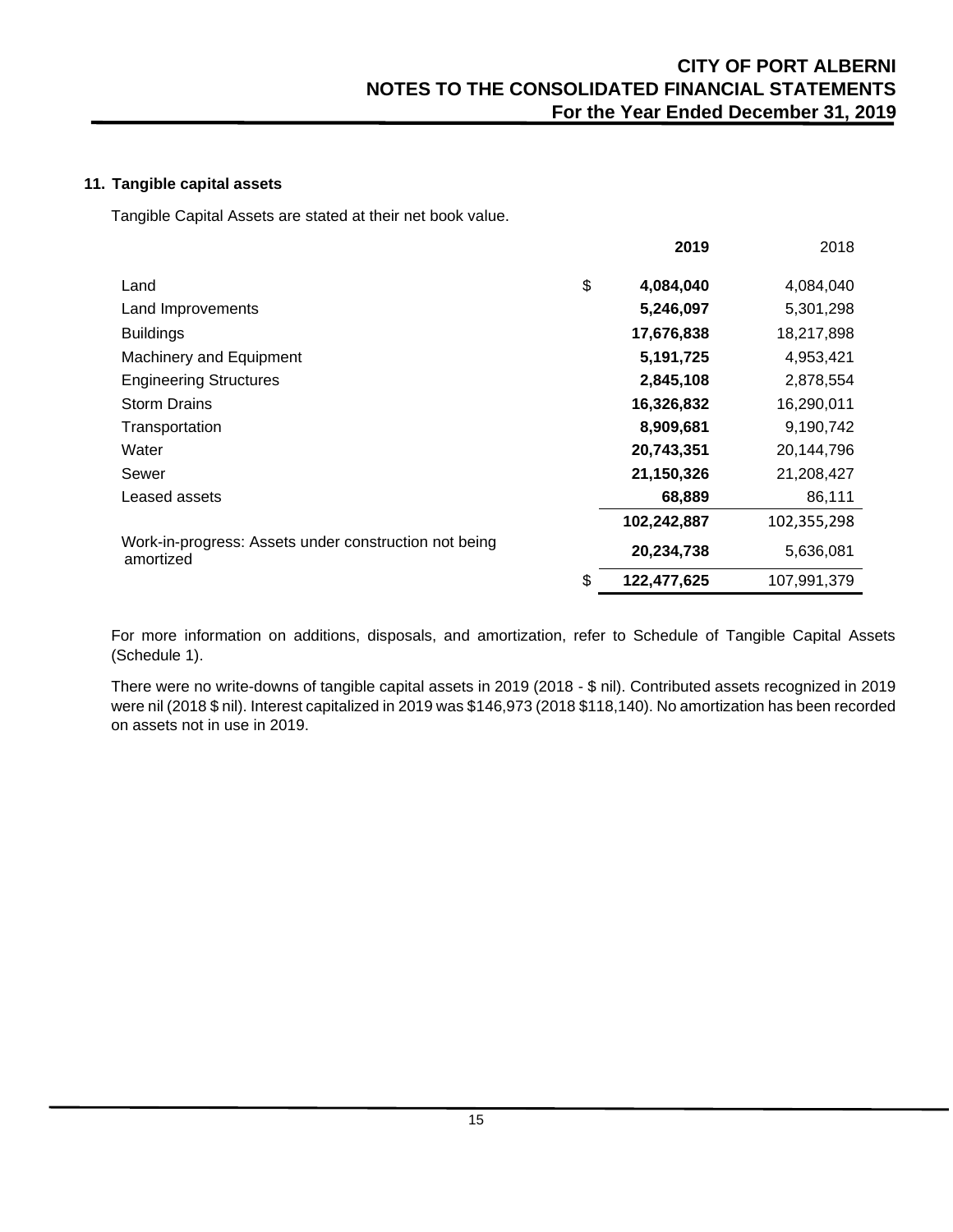# **11. Tangible capital assets**

Tangible Capital Assets are stated at their net book value.

|                                                                    | 2019              | 2018        |
|--------------------------------------------------------------------|-------------------|-------------|
| Land                                                               | \$<br>4,084,040   | 4,084,040   |
| Land Improvements                                                  | 5,246,097         | 5,301,298   |
| <b>Buildings</b>                                                   | 17,676,838        | 18,217,898  |
| Machinery and Equipment                                            | 5,191,725         | 4,953,421   |
| <b>Engineering Structures</b>                                      | 2,845,108         | 2,878,554   |
| <b>Storm Drains</b>                                                | 16,326,832        | 16,290,011  |
| Transportation                                                     | 8,909,681         | 9,190,742   |
| Water                                                              | 20,743,351        | 20,144,796  |
| Sewer                                                              | 21,150,326        | 21,208,427  |
| Leased assets                                                      | 68,889            | 86,111      |
|                                                                    | 102,242,887       | 102,355,298 |
| Work-in-progress: Assets under construction not being<br>amortized | 20,234,738        | 5,636,081   |
|                                                                    | \$<br>122,477,625 | 107,991,379 |

For more information on additions, disposals, and amortization, refer to Schedule of Tangible Capital Assets (Schedule 1).

There were no write-downs of tangible capital assets in 2019 (2018 - \$ nil). Contributed assets recognized in 2019 were nil (2018 \$ nil). Interest capitalized in 2019 was \$146,973 (2018 \$118,140). No amortization has been recorded on assets not in use in 2019.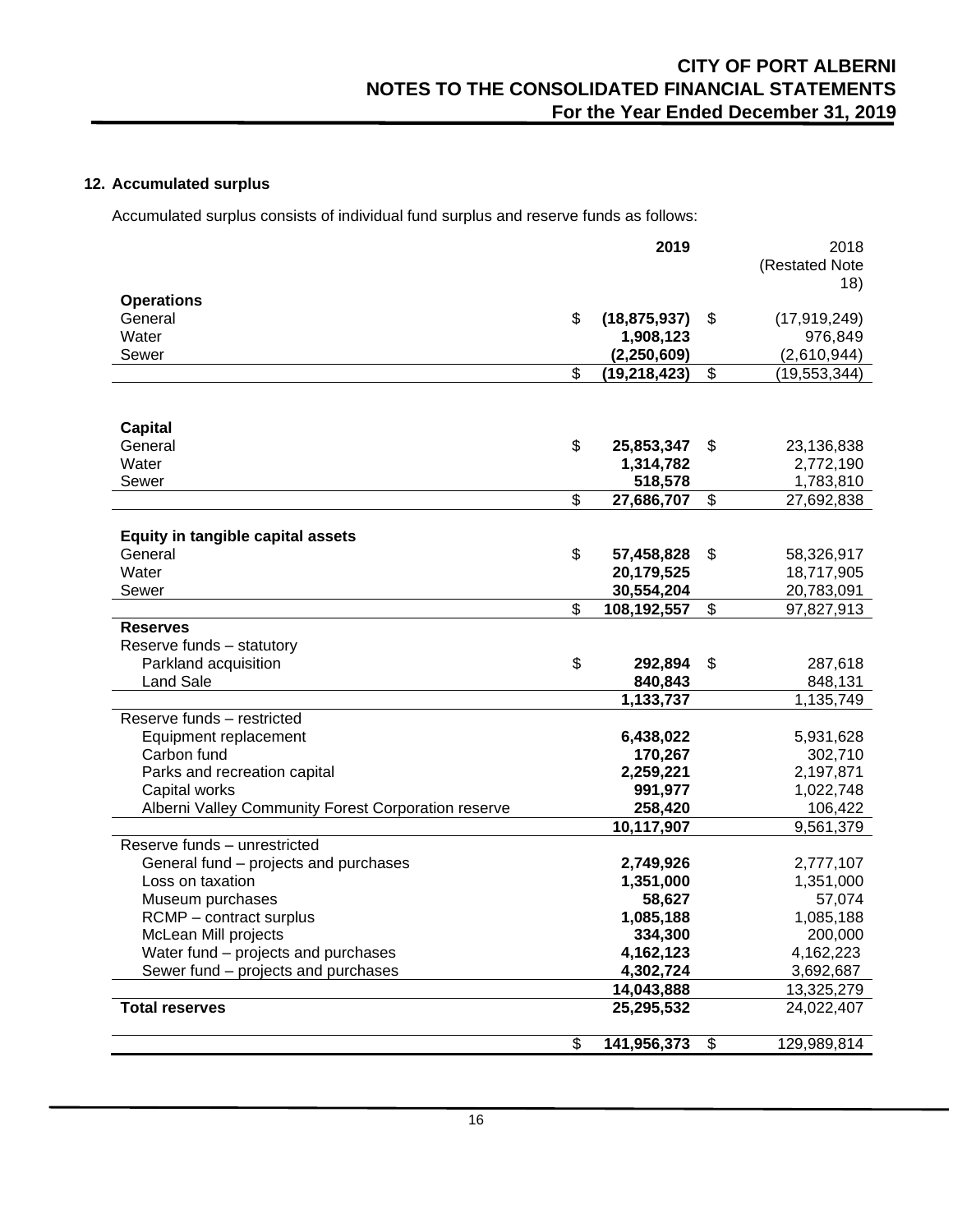# **12. Accumulated surplus**

Accumulated surplus consists of individual fund surplus and reserve funds as follows:

|                                                     | 2019                 | 2018                 |
|-----------------------------------------------------|----------------------|----------------------|
|                                                     |                      | (Restated Note       |
|                                                     |                      | 18)                  |
| <b>Operations</b>                                   |                      |                      |
| General                                             | \$<br>(18, 875, 937) | \$<br>(17, 919, 249) |
| Water                                               | 1,908,123            | 976,849              |
| Sewer                                               | (2, 250, 609)        | (2,610,944)          |
|                                                     | \$<br>(19, 218, 423) | \$<br>(19, 553, 344) |
|                                                     |                      |                      |
| <b>Capital</b>                                      |                      |                      |
| General                                             | \$<br>25,853,347     | \$<br>23,136,838     |
| Water                                               | 1,314,782            | 2,772,190            |
| Sewer                                               | 518,578              | 1,783,810            |
|                                                     | \$<br>27,686,707     | \$<br>27,692,838     |
|                                                     |                      |                      |
| <b>Equity in tangible capital assets</b>            |                      |                      |
| General                                             | \$<br>57,458,828     | \$<br>58,326,917     |
| Water                                               | 20,179,525           | 18,717,905           |
| Sewer                                               | 30,554,204           | 20,783,091           |
|                                                     | \$<br>108,192,557    | \$<br>97,827,913     |
| <b>Reserves</b>                                     |                      |                      |
| Reserve funds - statutory                           |                      |                      |
| Parkland acquisition                                | \$<br>292,894        | \$<br>287,618        |
| <b>Land Sale</b>                                    | 840,843              | 848,131              |
|                                                     | 1,133,737            | 1,135,749            |
| Reserve funds - restricted                          |                      |                      |
| Equipment replacement                               | 6,438,022            | 5,931,628            |
| Carbon fund                                         | 170,267              | 302,710              |
| Parks and recreation capital                        | 2,259,221            | 2,197,871            |
| Capital works                                       | 991,977              | 1,022,748            |
| Alberni Valley Community Forest Corporation reserve | 258,420              | 106,422              |
|                                                     | 10,117,907           | 9,561,379            |
| Reserve funds - unrestricted                        |                      |                      |
| General fund - projects and purchases               | 2,749,926            | 2,777,107            |
| Loss on taxation                                    | 1,351,000            | 1,351,000            |
| Museum purchases                                    | 58,627               | 57,074               |
| RCMP - contract surplus                             | 1,085,188            | 1,085,188            |
| McLean Mill projects                                | 334,300              | 200,000              |
| Water fund - projects and purchases                 | 4, 162, 123          | 4,162,223            |
| Sewer fund - projects and purchases                 | 4,302,724            | 3,692,687            |
|                                                     | 14,043,888           | 13,325,279           |
| <b>Total reserves</b>                               | 25,295,532           | 24,022,407           |
|                                                     | \$<br>141,956,373    | \$<br>129,989,814    |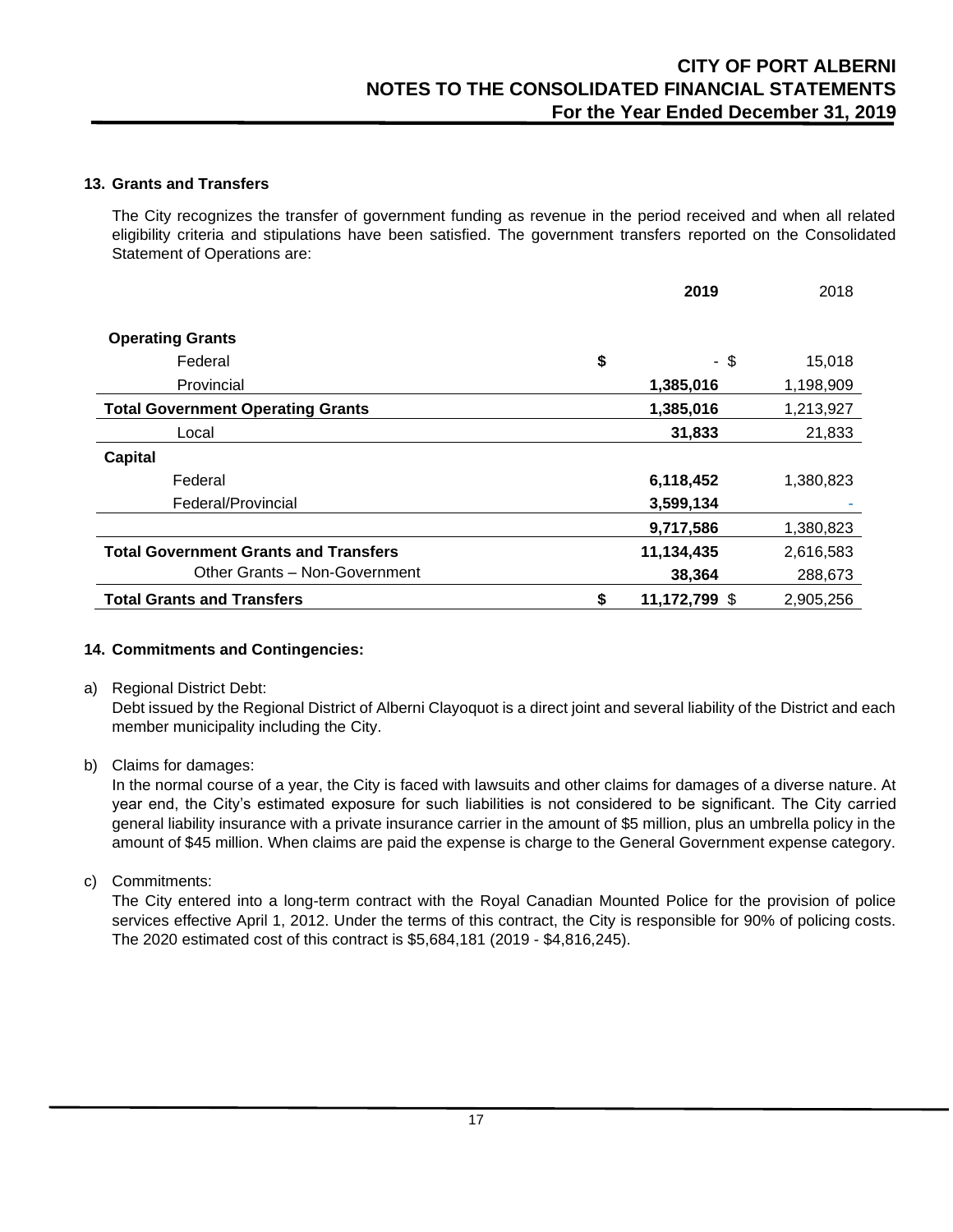# **13. Grants and Transfers**

The City recognizes the transfer of government funding as revenue in the period received and when all related eligibility criteria and stipulations have been satisfied. The government transfers reported on the Consolidated Statement of Operations are:

|                                              |    | 2019          | 2018      |
|----------------------------------------------|----|---------------|-----------|
| <b>Operating Grants</b>                      |    |               |           |
| Federal                                      | \$ | - \$          | 15,018    |
| Provincial                                   |    | 1,385,016     | 1,198,909 |
| <b>Total Government Operating Grants</b>     |    | 1,385,016     | 1,213,927 |
| Local                                        |    | 31,833        | 21,833    |
| <b>Capital</b>                               |    |               |           |
| Federal                                      |    | 6,118,452     | 1,380,823 |
| Federal/Provincial                           |    | 3,599,134     |           |
|                                              |    | 9,717,586     | 1,380,823 |
| <b>Total Government Grants and Transfers</b> |    | 11,134,435    | 2,616,583 |
| Other Grants - Non-Government                |    | 38,364        | 288,673   |
| <b>Total Grants and Transfers</b>            | S  | 11,172,799 \$ | 2,905,256 |

# **14. Commitments and Contingencies:**

a) Regional District Debt:

Debt issued by the Regional District of Alberni Clayoquot is a direct joint and several liability of the District and each member municipality including the City.

b) Claims for damages:

In the normal course of a year, the City is faced with lawsuits and other claims for damages of a diverse nature. At year end, the City's estimated exposure for such liabilities is not considered to be significant. The City carried general liability insurance with a private insurance carrier in the amount of \$5 million, plus an umbrella policy in the amount of \$45 million. When claims are paid the expense is charge to the General Government expense category.

c) Commitments:

The City entered into a long-term contract with the Royal Canadian Mounted Police for the provision of police services effective April 1, 2012. Under the terms of this contract, the City is responsible for 90% of policing costs. The 2020 estimated cost of this contract is \$5,684,181 (2019 - \$4,816,245).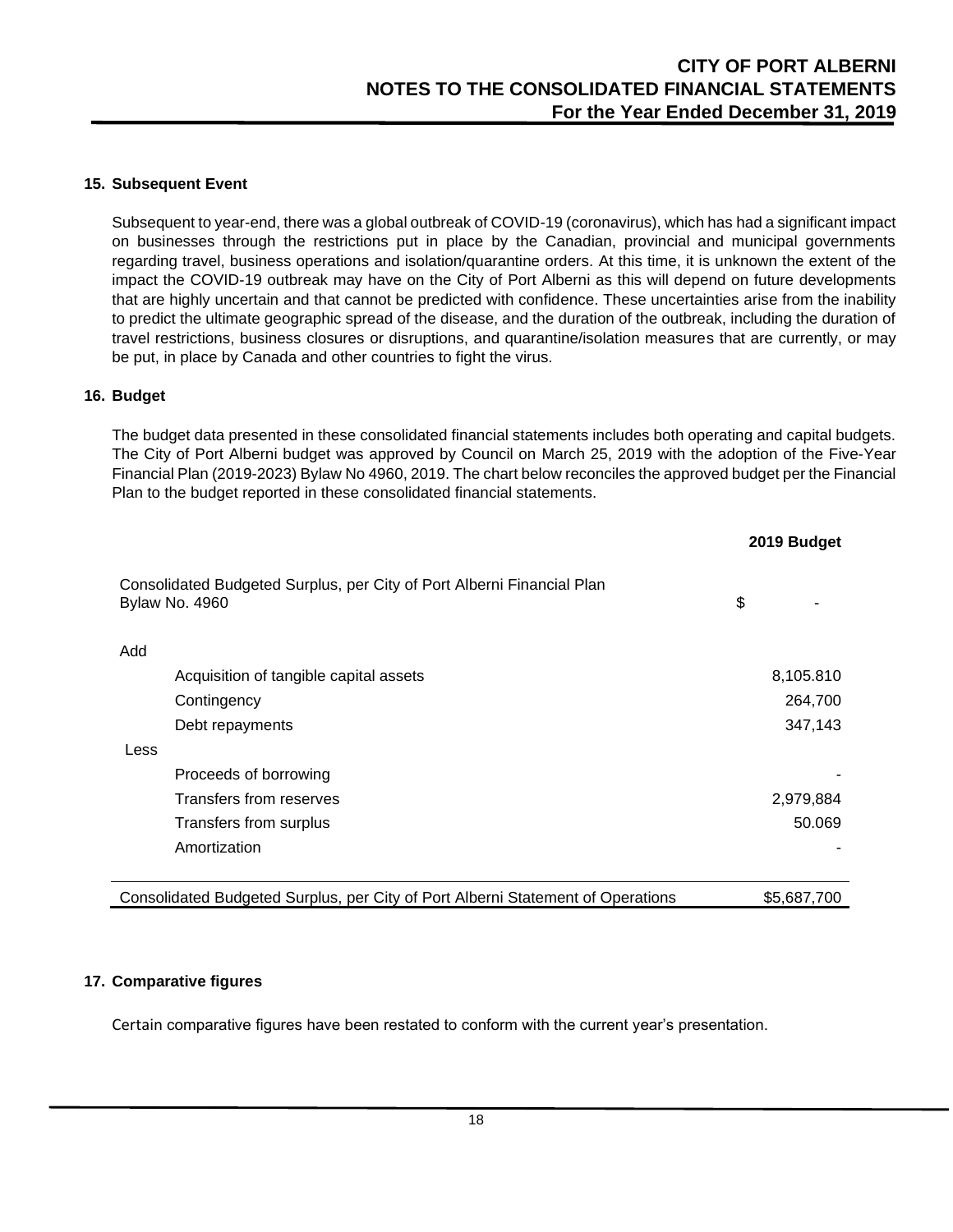#### **15. Subsequent Event**

Subsequent to year-end, there was a global outbreak of COVID-19 (coronavirus), which has had a significant impact on businesses through the restrictions put in place by the Canadian, provincial and municipal governments regarding travel, business operations and isolation/quarantine orders. At this time, it is unknown the extent of the impact the COVID-19 outbreak may have on the City of Port Alberni as this will depend on future developments that are highly uncertain and that cannot be predicted with confidence. These uncertainties arise from the inability to predict the ultimate geographic spread of the disease, and the duration of the outbreak, including the duration of travel restrictions, business closures or disruptions, and quarantine/isolation measures that are currently, or may be put, in place by Canada and other countries to fight the virus.

#### **16. Budget**

The budget data presented in these consolidated financial statements includes both operating and capital budgets. The City of Port Alberni budget was approved by Council on March 25, 2019 with the adoption of the Five-Year Financial Plan (2019-2023) Bylaw No 4960, 2019. The chart below reconciles the approved budget per the Financial Plan to the budget reported in these consolidated financial statements.

|                                                                                          | 2019 Budget |
|------------------------------------------------------------------------------------------|-------------|
| Consolidated Budgeted Surplus, per City of Port Alberni Financial Plan<br>Bylaw No. 4960 | \$          |
| Add                                                                                      |             |
| Acquisition of tangible capital assets                                                   | 8,105.810   |
| Contingency                                                                              | 264,700     |
| Debt repayments                                                                          | 347,143     |
| Less                                                                                     |             |
| Proceeds of borrowing                                                                    |             |
| Transfers from reserves                                                                  | 2,979,884   |
| Transfers from surplus                                                                   | 50.069      |
| Amortization                                                                             |             |
| Consolidated Budgeted Surplus, per City of Port Alberni Statement of Operations          | \$5,687,700 |

# **17. Comparative figures**

Certain comparative figures have been restated to conform with the current year's presentation.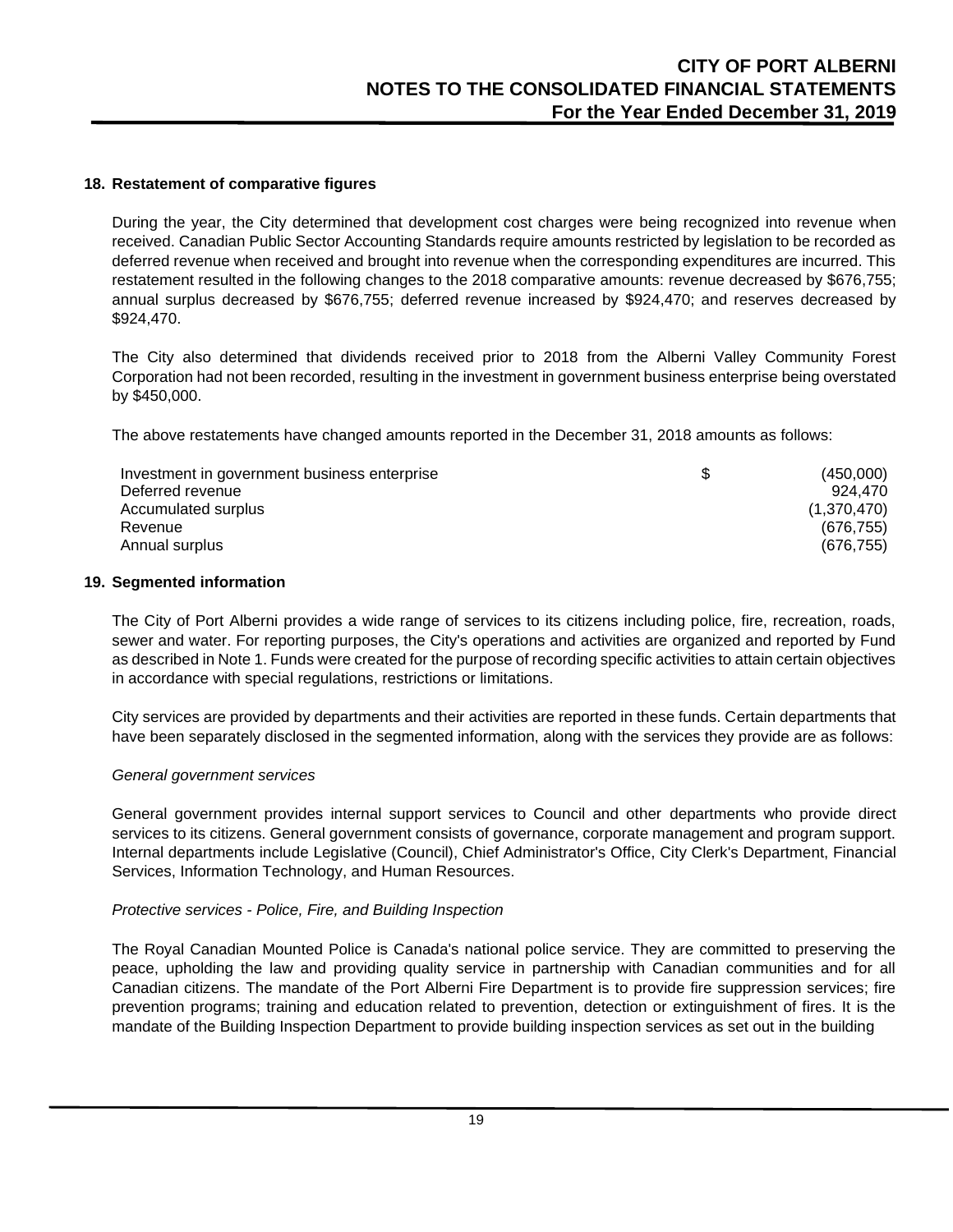#### **18. Restatement of comparative figures**

During the year, the City determined that development cost charges were being recognized into revenue when received. Canadian Public Sector Accounting Standards require amounts restricted by legislation to be recorded as deferred revenue when received and brought into revenue when the corresponding expenditures are incurred. This restatement resulted in the following changes to the 2018 comparative amounts: revenue decreased by \$676,755; annual surplus decreased by \$676,755; deferred revenue increased by \$924,470; and reserves decreased by \$924,470.

The City also determined that dividends received prior to 2018 from the Alberni Valley Community Forest Corporation had not been recorded, resulting in the investment in government business enterprise being overstated by \$450,000.

The above restatements have changed amounts reported in the December 31, 2018 amounts as follows:

| Investment in government business enterprise | (450,000)   |
|----------------------------------------------|-------------|
| Deferred revenue                             | 924.470     |
| Accumulated surplus                          | (1,370,470) |
| Revenue                                      | (676.755)   |
| Annual surplus                               | (676, 755)  |

#### **19. Segmented information**

The City of Port Alberni provides a wide range of services to its citizens including police, fire, recreation, roads, sewer and water. For reporting purposes, the City's operations and activities are organized and reported by Fund as described in Note 1. Funds were created for the purpose of recording specific activities to attain certain objectives in accordance with special regulations, restrictions or limitations.

City services are provided by departments and their activities are reported in these funds. Certain departments that have been separately disclosed in the segmented information, along with the services they provide are as follows:

#### *General government services*

General government provides internal support services to Council and other departments who provide direct services to its citizens. General government consists of governance, corporate management and program support. Internal departments include Legislative (Council), Chief Administrator's Office, City Clerk's Department, Financial Services, Information Technology, and Human Resources.

#### *Protective services - Police, Fire, and Building Inspection*

The Royal Canadian Mounted Police is Canada's national police service. They are committed to preserving the peace, upholding the law and providing quality service in partnership with Canadian communities and for all Canadian citizens. The mandate of the Port Alberni Fire Department is to provide fire suppression services; fire prevention programs; training and education related to prevention, detection or extinguishment of fires. It is the mandate of the Building Inspection Department to provide building inspection services as set out in the building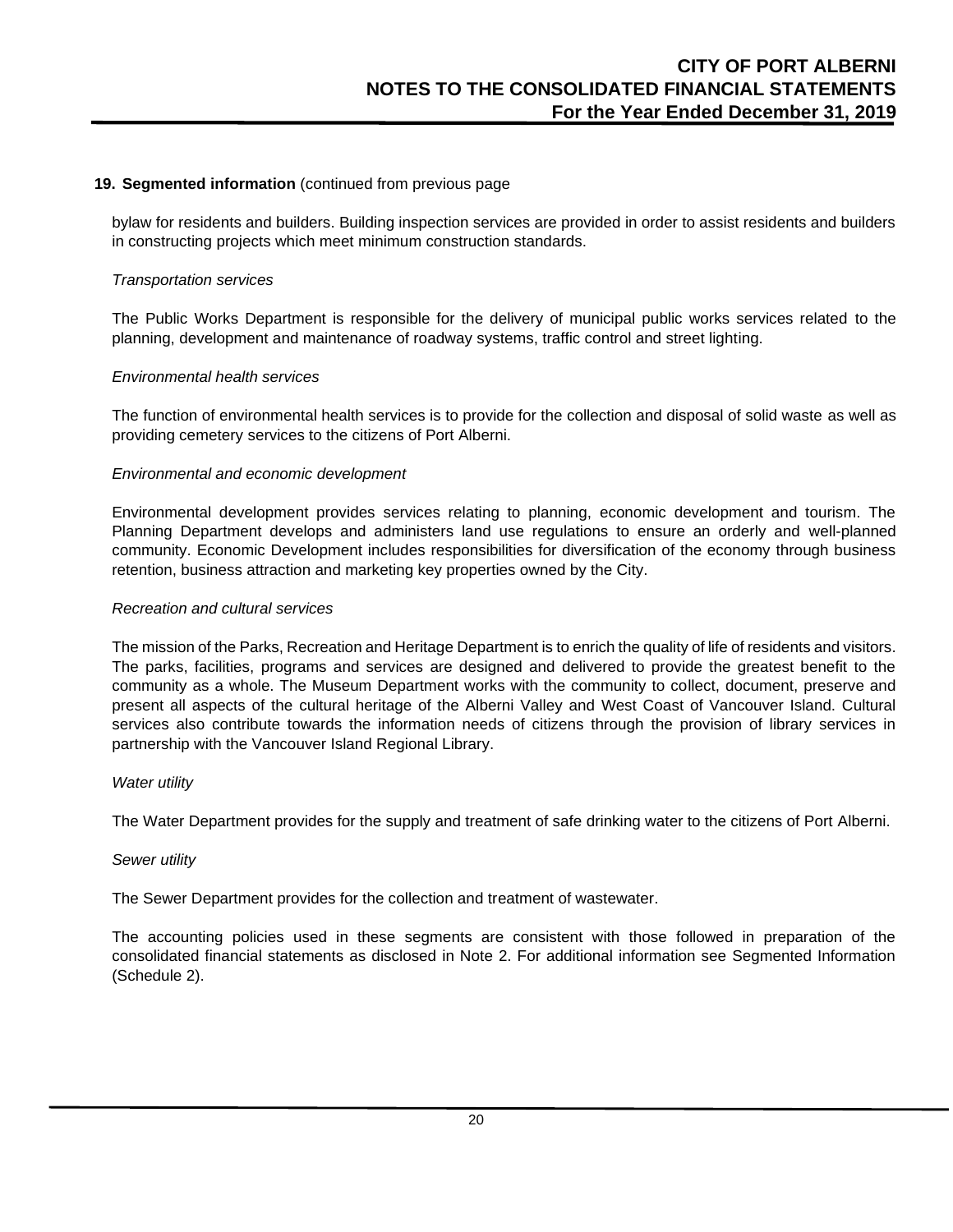#### **19. Segmented information** (continued from previous page

bylaw for residents and builders. Building inspection services are provided in order to assist residents and builders in constructing projects which meet minimum construction standards.

#### *Transportation services*

The Public Works Department is responsible for the delivery of municipal public works services related to the planning, development and maintenance of roadway systems, traffic control and street lighting.

#### *Environmental health services*

The function of environmental health services is to provide for the collection and disposal of solid waste as well as providing cemetery services to the citizens of Port Alberni.

#### *Environmental and economic development*

Environmental development provides services relating to planning, economic development and tourism. The Planning Department develops and administers land use regulations to ensure an orderly and well-planned community. Economic Development includes responsibilities for diversification of the economy through business retention, business attraction and marketing key properties owned by the City.

#### *Recreation and cultural services*

The mission of the Parks, Recreation and Heritage Department is to enrich the quality of life of residents and visitors. The parks, facilities, programs and services are designed and delivered to provide the greatest benefit to the community as a whole. The Museum Department works with the community to collect, document, preserve and present all aspects of the cultural heritage of the Alberni Valley and West Coast of Vancouver Island. Cultural services also contribute towards the information needs of citizens through the provision of library services in partnership with the Vancouver Island Regional Library.

#### *Water utility*

The Water Department provides for the supply and treatment of safe drinking water to the citizens of Port Alberni.

#### *Sewer utility*

The Sewer Department provides for the collection and treatment of wastewater.

The accounting policies used in these segments are consistent with those followed in preparation of the consolidated financial statements as disclosed in Note 2. For additional information see Segmented Information (Schedule 2).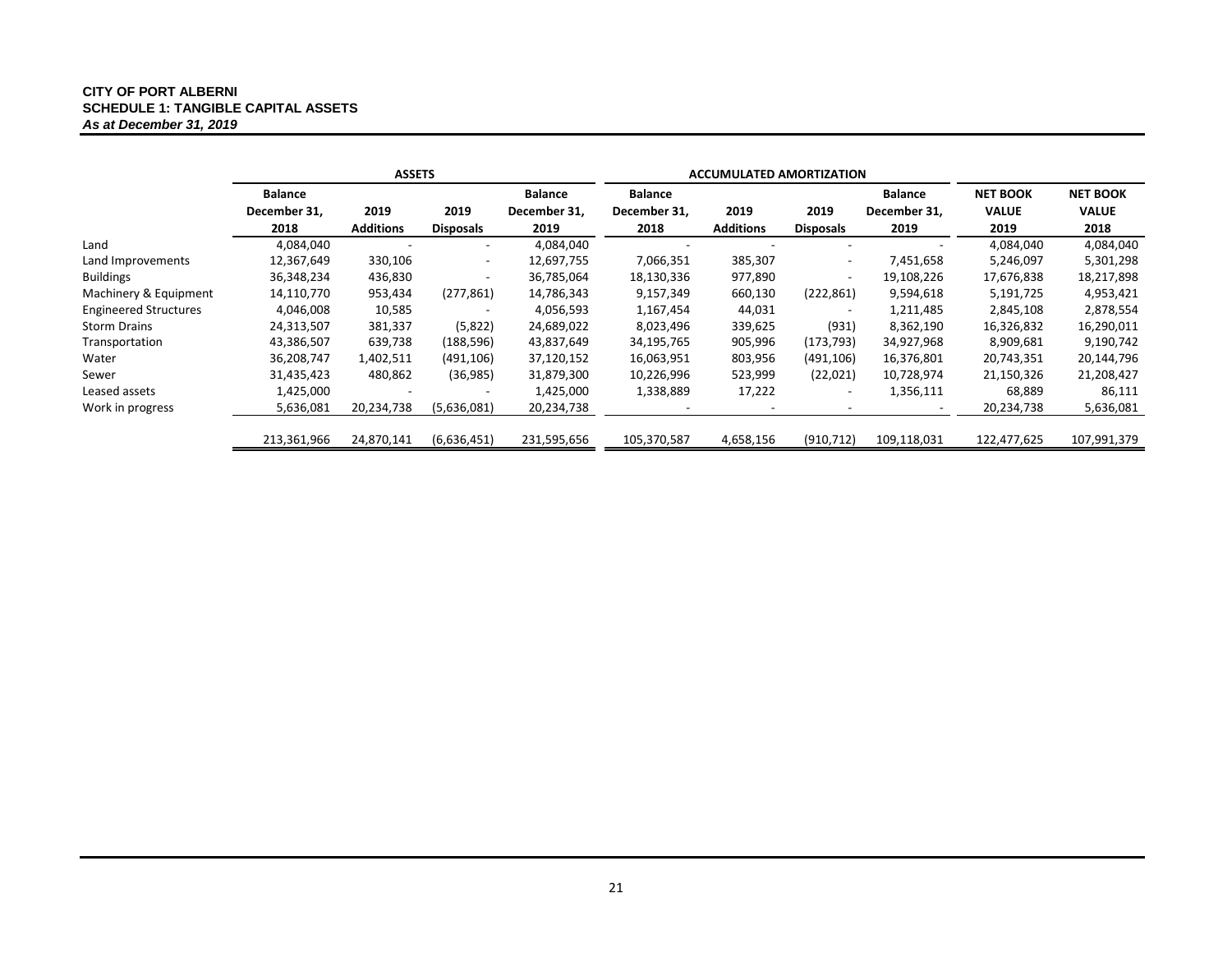#### **CITY OF PORT ALBERNI SCHEDULE 1: TANGIBLE CAPITAL ASSETS**  *As at December 31, 2019*

|                              |                                        | <b>ASSETS</b>            |                          |                                        |                                        | <b>ACCUMULATED AMORTIZATION</b> |                          |                                        |                                         |                                  |
|------------------------------|----------------------------------------|--------------------------|--------------------------|----------------------------------------|----------------------------------------|---------------------------------|--------------------------|----------------------------------------|-----------------------------------------|----------------------------------|
|                              | <b>Balance</b><br>December 31,<br>2018 | 2019<br><b>Additions</b> | 2019<br><b>Disposals</b> | <b>Balance</b><br>December 31,<br>2019 | <b>Balance</b><br>December 31,<br>2018 | 2019<br><b>Additions</b>        | 2019<br><b>Disposals</b> | <b>Balance</b><br>December 31,<br>2019 | <b>NET BOOK</b><br><b>VALUE</b><br>2019 | <b>NET BOOK</b><br>VALUE<br>2018 |
| Land                         | 4,084,040                              |                          |                          | 4,084,040                              |                                        |                                 |                          |                                        | 4,084,040                               | 4,084,040                        |
| Land Improvements            | 12,367,649                             | 330,106                  | $\overline{\phantom{a}}$ | 12,697,755                             | 7,066,351                              | 385,307                         | $\overline{\phantom{a}}$ | 7,451,658                              | 5,246,097                               | 5,301,298                        |
| <b>Buildings</b>             | 36,348,234                             | 436,830                  |                          | 36,785,064                             | 18,130,336                             | 977,890                         | $\overline{\phantom{a}}$ | 19,108,226                             | 17,676,838                              | 18,217,898                       |
| Machinery & Equipment        | 14,110,770                             | 953,434                  | (277, 861)               | 14,786,343                             | 9,157,349                              | 660,130                         | (222, 861)               | 9,594,618                              | 5,191,725                               | 4,953,421                        |
| <b>Engineered Structures</b> | 4,046,008                              | 10,585                   |                          | 4,056,593                              | 1,167,454                              | 44,031                          |                          | 1,211,485                              | 2,845,108                               | 2,878,554                        |
| <b>Storm Drains</b>          | 24,313,507                             | 381,337                  | (5,822)                  | 24,689,022                             | 8,023,496                              | 339,625                         | (931)                    | 8,362,190                              | 16,326,832                              | 16,290,011                       |
| Transportation               | 43,386,507                             | 639,738                  | (188, 596)               | 43,837,649                             | 34,195,765                             | 905,996                         | (173, 793)               | 34,927,968                             | 8,909,681                               | 9,190,742                        |
| Water                        | 36,208,747                             | 1,402,511                | (491, 106)               | 37,120,152                             | 16,063,951                             | 803,956                         | (491, 106)               | 16,376,801                             | 20,743,351                              | 20,144,796                       |
| Sewer                        | 31,435,423                             | 480,862                  | (36, 985)                | 31,879,300                             | 10,226,996                             | 523,999                         | (22,021)                 | 10,728,974                             | 21,150,326                              | 21,208,427                       |
| Leased assets                | 1,425,000                              |                          | $\overline{\phantom{a}}$ | 1,425,000                              | 1,338,889                              | 17,222                          | $\overline{\phantom{a}}$ | 1,356,111                              | 68,889                                  | 86,111                           |
| Work in progress             | 5,636,081                              | 20,234,738               | (5,636,081)              | 20,234,738                             |                                        |                                 |                          |                                        | 20,234,738                              | 5,636,081                        |
|                              | 213,361,966                            | 24,870,141               | (6,636,451)              | 231,595,656                            | 105,370,587                            | 4,658,156                       | (910, 712)               | 109,118,031                            | 122,477,625                             | 107,991,379                      |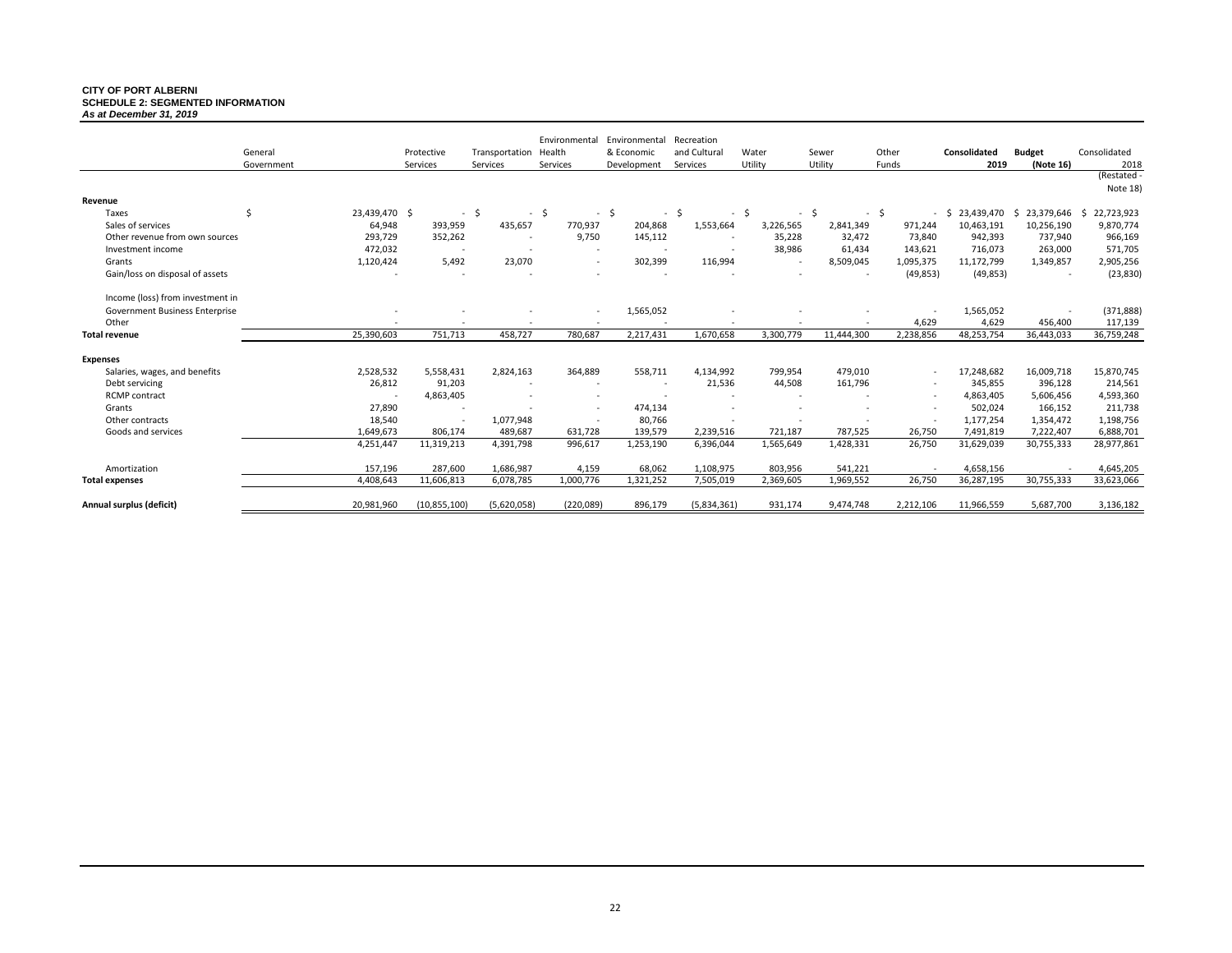#### **CITY OF PORT ALBERNI SCHEDULE 2: SEGMENTED INFORMATION**  *As at December 31, 2019*

|                                  | General<br>Government |                         | Protective<br>Services   | Transportation<br>Services | Environmental<br>Health<br>Services | Environmental<br>& Economic<br>Development | Recreation<br>and Cultural<br>Services | Water<br>Utility                     | Sewer<br>Utility           | Other<br>Funds | Consolidated<br>2019           | <b>Budget</b><br>(Note 16) | Consolidated<br>2018           |
|----------------------------------|-----------------------|-------------------------|--------------------------|----------------------------|-------------------------------------|--------------------------------------------|----------------------------------------|--------------------------------------|----------------------------|----------------|--------------------------------|----------------------------|--------------------------------|
|                                  |                       |                         |                          |                            |                                     |                                            |                                        |                                      |                            |                |                                |                            | (Restated -<br>Note 18)        |
| Revenue                          | Ś                     |                         |                          |                            |                                     |                                            |                                        |                                      |                            |                |                                |                            |                                |
| Taxes<br>Sales of services       |                       | 23,439,470 \$<br>64,948 | 393,959                  | $-5$<br>$\sim$<br>435,657  | - Ś<br>$\sim$<br>770,937            | Ŝ.<br>$\sim$<br>204,868                    | -\$<br>1,553,664                       | -\$<br>$\sim$<br>$\sim$<br>3,226,565 | -\$<br>$\sim$<br>2,841,349 | \$.<br>971,244 | $$23,439,470$ \$<br>10,463,191 | 23,379,646<br>10,256,190   | 22,723,923<br>-\$<br>9,870,774 |
| Other revenue from own sources   |                       | 293,729                 | 352,262                  |                            | 9,750                               | 145,112                                    |                                        | 35,228                               | 32,472                     | 73,840         | 942,393                        | 737,940                    | 966,169                        |
| Investment income                |                       | 472,032                 |                          | $\overline{\phantom{a}}$   | . .                                 |                                            |                                        | 38,986                               | 61,434                     | 143,621        | 716,073                        | 263,000                    | 571,705                        |
| Grants                           |                       | 1,120,424               | 5,492                    | 23,070                     | $\overline{\phantom{a}}$            | 302,399                                    | 116,994                                | $\sim$                               | 8,509,045                  | 1,095,375      | 11,172,799                     | 1,349,857                  | 2,905,256                      |
| Gain/loss on disposal of assets  |                       |                         |                          |                            | $\overline{\phantom{a}}$            |                                            |                                        |                                      |                            | (49, 853)      | (49, 853)                      | $\overline{\phantom{a}}$   | (23, 830)                      |
| Income (loss) from investment in |                       |                         |                          |                            |                                     |                                            |                                        |                                      |                            |                |                                |                            |                                |
| Government Business Enterprise   |                       |                         |                          |                            | $\overline{\phantom{a}}$            | 1,565,052                                  |                                        |                                      |                            |                | 1,565,052                      |                            | (371, 888)                     |
| Other                            |                       |                         |                          |                            |                                     |                                            |                                        |                                      |                            | 4,629          | 4,629                          | 456,400                    | 117,139                        |
| <b>Total revenue</b>             |                       | 25,390,603              | 751,713                  | 458,727                    | 780,687                             | 2,217,431                                  | 1,670,658                              | 3,300,779                            | 11,444,300                 | 2,238,856      | 48,253,754                     | 36,443,033                 | 36,759,248                     |
|                                  |                       |                         |                          |                            |                                     |                                            |                                        |                                      |                            |                |                                |                            |                                |
| <b>Expenses</b>                  |                       |                         |                          |                            |                                     |                                            |                                        |                                      |                            |                |                                |                            |                                |
| Salaries, wages, and benefits    |                       | 2,528,532               | 5,558,431                | 2,824,163                  | 364,889                             | 558,711                                    | 4,134,992                              | 799,954                              | 479,010                    |                | 17,248,682                     | 16,009,718                 | 15,870,745                     |
| Debt servicing                   |                       | 26,812                  | 91,203                   | $\overline{\phantom{a}}$   | $\overline{\phantom{a}}$            | $\overline{\phantom{a}}$                   | 21,536                                 | 44,508                               | 161,796                    |                | 345,855                        | 396,128                    | 214,561                        |
| <b>RCMP</b> contract             |                       |                         | 4,863,405                |                            |                                     |                                            |                                        |                                      |                            |                | 4,863,405                      | 5,606,456                  | 4,593,360                      |
| Grants                           |                       | 27,890                  | $\overline{\phantom{a}}$ |                            | $\overline{\phantom{a}}$            | 474,134                                    |                                        |                                      |                            |                | 502,024                        | 166,152                    | 211,738                        |
| Other contracts                  |                       | 18,540                  | $\overline{\phantom{a}}$ | 1,077,948                  | $\overline{\phantom{a}}$            | 80,766                                     |                                        |                                      |                            | $\sim$         | 1,177,254                      | 1,354,472                  | 1,198,756                      |
| Goods and services               |                       | 1,649,673               | 806,174                  | 489,687                    | 631,728                             | 139,579                                    | 2,239,516                              | 721,187                              | 787,525                    | 26,750         | 7,491,819                      | 7,222,407                  | 6,888,701                      |
|                                  |                       | 4,251,447               | 11,319,213               | 4,391,798                  | 996,617                             | 1,253,190                                  | 6,396,044                              | 1,565,649                            | 1,428,331                  | 26,750         | 31,629,039                     | 30,755,333                 | 28,977,861                     |
| Amortization                     |                       | 157,196                 | 287,600                  | 1,686,987                  | 4,159                               | 68,062                                     | 1,108,975                              | 803,956                              | 541,221                    |                | 4,658,156                      |                            | 4,645,205                      |
| <b>Total expenses</b>            |                       | 4,408,643               | 11,606,813               | 6,078,785                  | 1,000,776                           | 1,321,252                                  | 7,505,019                              | 2,369,605                            | 1,969,552                  | 26,750         | 36,287,195                     | 30,755,333                 | 33,623,066                     |
| Annual surplus (deficit)         |                       | 20,981,960              | (10, 855, 100)           | (5,620,058)                | (220, 089)                          | 896,179                                    | (5,834,361)                            | 931,174                              | 9,474,748                  | 2,212,106      | 11,966,559                     | 5,687,700                  | 3,136,182                      |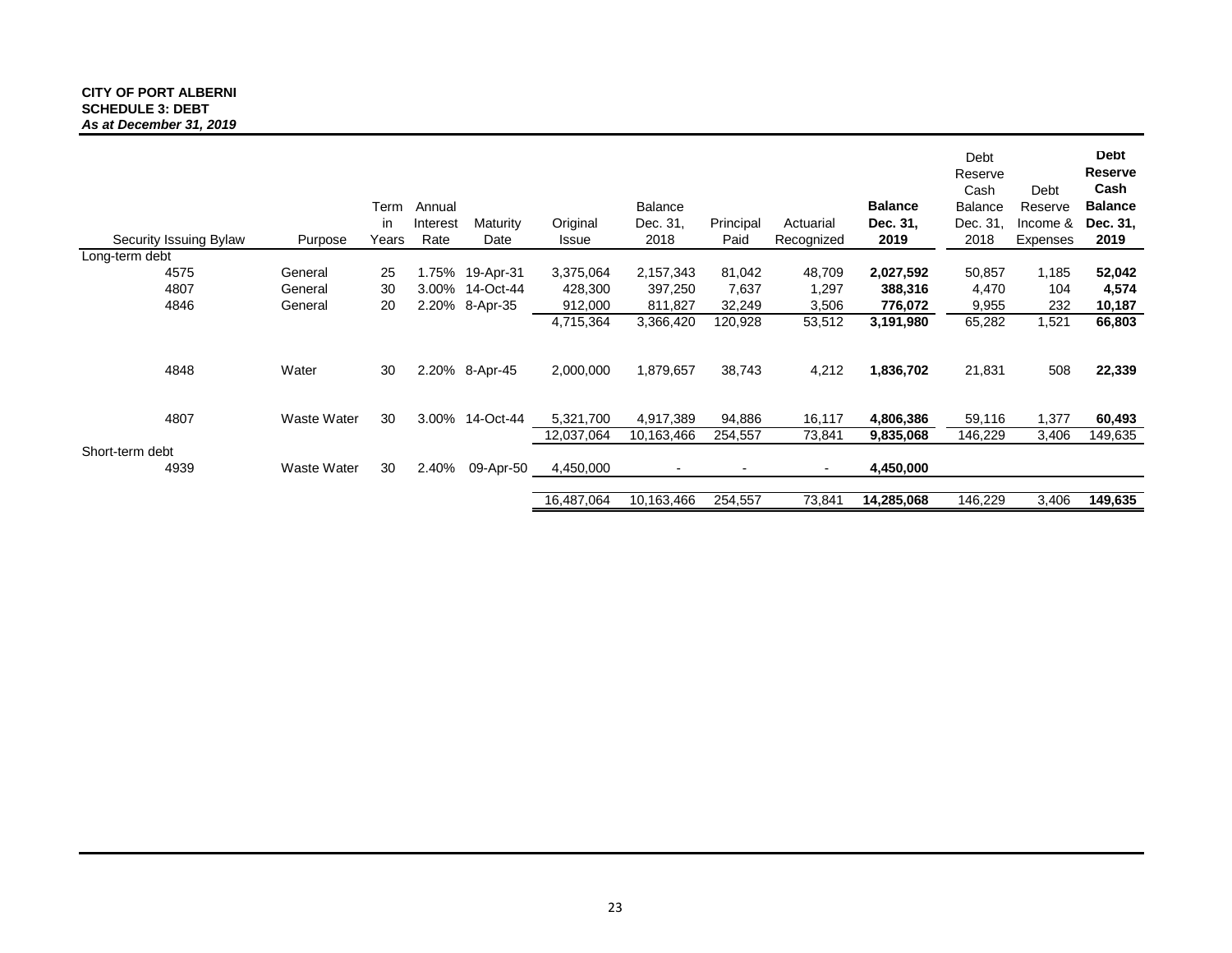#### **CITY OF PORT ALBERNI SCHEDULE 3: DEBT**  *As at December 31, 2019*

| Security Issuing Bylaw  | Purpose     | Term<br>in.<br>Years | Annual<br>Interest<br>Rate | <b>Maturity</b><br>Date | Original<br><b>Issue</b> | <b>Balance</b><br>Dec. 31,<br>2018 | Principal<br>Paid | Actuarial<br>Recognized | <b>Balance</b><br>Dec. 31,<br>2019 | Debt<br>Reserve<br>Cash<br><b>Balance</b><br>Dec. 31.<br>2018 | Debt<br>Reserve<br>Income &<br>Expenses | <b>Debt</b><br><b>Reserve</b><br>Cash<br><b>Balance</b><br>Dec. 31,<br>2019 |
|-------------------------|-------------|----------------------|----------------------------|-------------------------|--------------------------|------------------------------------|-------------------|-------------------------|------------------------------------|---------------------------------------------------------------|-----------------------------------------|-----------------------------------------------------------------------------|
| Long-term debt          |             |                      |                            |                         |                          |                                    |                   |                         |                                    |                                                               |                                         |                                                                             |
| 4575                    | General     | 25                   |                            | 1.75% 19-Apr-31         | 3,375,064                | 2,157,343                          | 81,042            | 48,709                  | 2,027,592                          | 50,857                                                        | 1,185                                   | 52,042                                                                      |
| 4807                    | General     | 30                   |                            | 3.00% 14-Oct-44         | 428,300                  | 397,250                            | 7,637             | 1,297                   | 388,316                            | 4,470                                                         | 104                                     | 4,574                                                                       |
| 4846                    | General     | 20                   |                            | 2.20% 8-Apr-35          | 912,000                  | 811,827                            | 32,249            | 3,506                   | 776,072                            | 9,955                                                         | 232                                     | 10,187                                                                      |
|                         |             |                      |                            |                         | 4,715,364                | 3,366,420                          | 120,928           | 53,512                  | 3,191,980                          | 65,282                                                        | 1,521                                   | 66,803                                                                      |
| 4848                    | Water       | 30                   |                            | 2.20% 8-Apr-45          | 2,000,000                | 1,879,657                          | 38,743            | 4,212                   | 1,836,702                          | 21,831                                                        | 508                                     | 22,339                                                                      |
| 4807                    | Waste Water | 30                   |                            | 3.00% 14-Oct-44         | 5,321,700                | 4,917,389                          | 94,886            | 16,117                  | 4,806,386                          | 59,116                                                        | 1,377                                   | 60,493                                                                      |
|                         |             |                      |                            |                         | 12,037,064               | 10,163,466                         | 254,557           | 73,841                  | 9,835,068                          | 146,229                                                       | 3,406                                   | 149,635                                                                     |
| Short-term debt<br>4939 | Waste Water | 30                   | 2.40%                      | 09-Apr-50               | 4,450,000                | $\overline{\phantom{a}}$           | $\sim$            | $\blacksquare$          | 4,450,000                          |                                                               |                                         |                                                                             |
|                         |             |                      |                            |                         | 16,487,064               | 10,163,466                         | 254,557           | 73,841                  | 14,285,068                         | 146,229                                                       | 3,406                                   | 149,635                                                                     |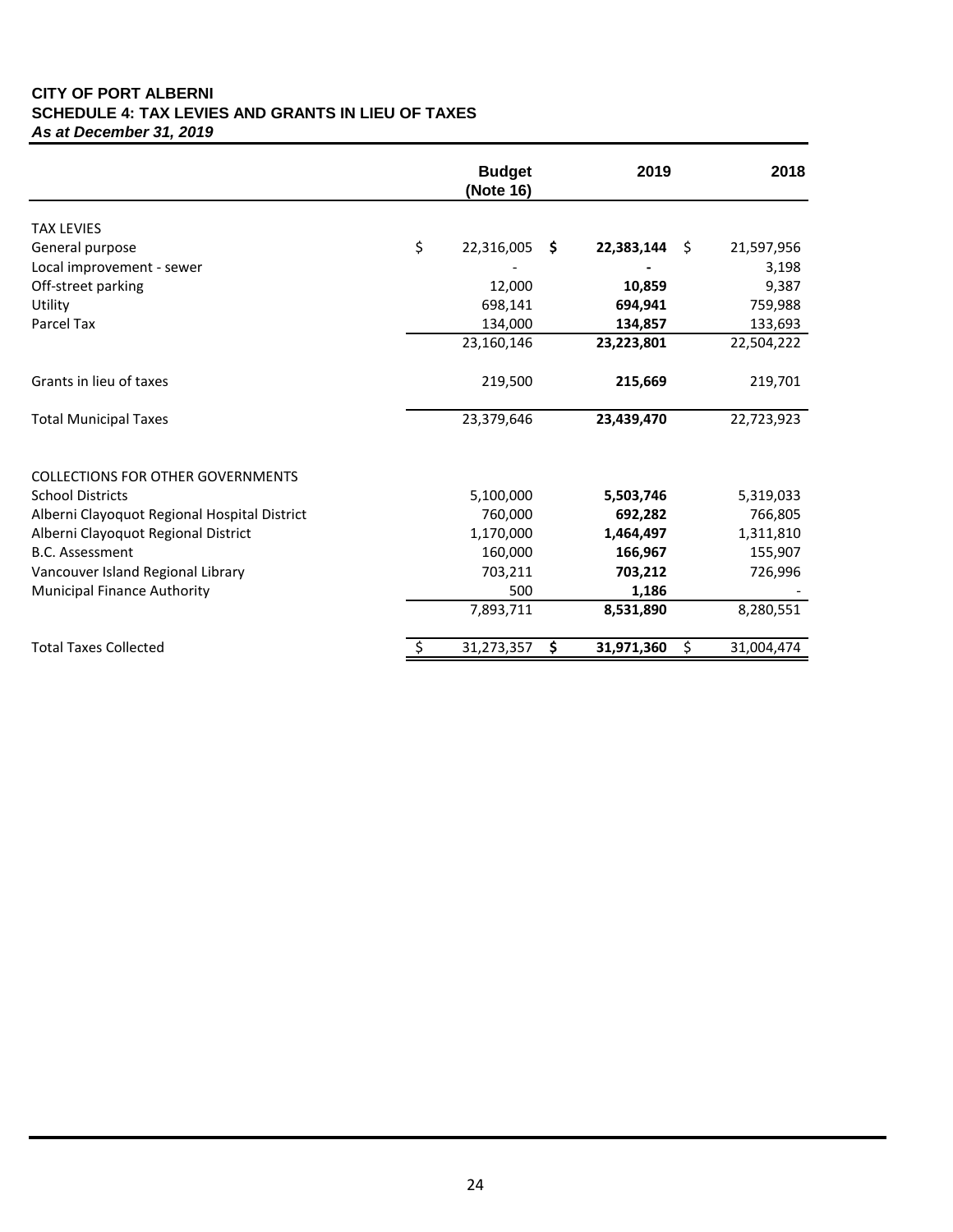# **CITY OF PORT ALBERNI SCHEDULE 4: TAX LEVIES AND GRANTS IN LIEU OF TAXES**  *As at December 31, 2019*

|                                              | <b>Budget</b><br>(Note 16) |    | 2019       |    | 2018       |
|----------------------------------------------|----------------------------|----|------------|----|------------|
| <b>TAX LEVIES</b>                            |                            |    |            |    |            |
| General purpose                              | \$<br>22,316,005 \$        |    | 22,383,144 | Ŝ. | 21,597,956 |
| Local improvement - sewer                    |                            |    |            |    | 3,198      |
| Off-street parking                           | 12,000                     |    | 10,859     |    | 9,387      |
| Utility                                      | 698,141                    |    | 694,941    |    | 759,988    |
| Parcel Tax                                   | 134,000                    |    | 134,857    |    | 133,693    |
|                                              | 23,160,146                 |    | 23,223,801 |    | 22,504,222 |
| Grants in lieu of taxes                      | 219,500                    |    | 215,669    |    | 219,701    |
| <b>Total Municipal Taxes</b>                 | 23,379,646                 |    | 23,439,470 |    | 22,723,923 |
| <b>COLLECTIONS FOR OTHER GOVERNMENTS</b>     |                            |    |            |    |            |
| <b>School Districts</b>                      | 5,100,000                  |    | 5,503,746  |    | 5,319,033  |
| Alberni Clayoquot Regional Hospital District | 760,000                    |    | 692,282    |    | 766,805    |
| Alberni Clayoquot Regional District          | 1,170,000                  |    | 1,464,497  |    | 1,311,810  |
| <b>B.C. Assessment</b>                       | 160,000                    |    | 166,967    |    | 155,907    |
| Vancouver Island Regional Library            | 703,211                    |    | 703,212    |    | 726,996    |
| Municipal Finance Authority                  | 500                        |    | 1,186      |    |            |
|                                              | 7,893,711                  |    | 8,531,890  |    | 8,280,551  |
| <b>Total Taxes Collected</b>                 | 31,273,357                 | Ŝ. | 31,971,360 | S  | 31,004,474 |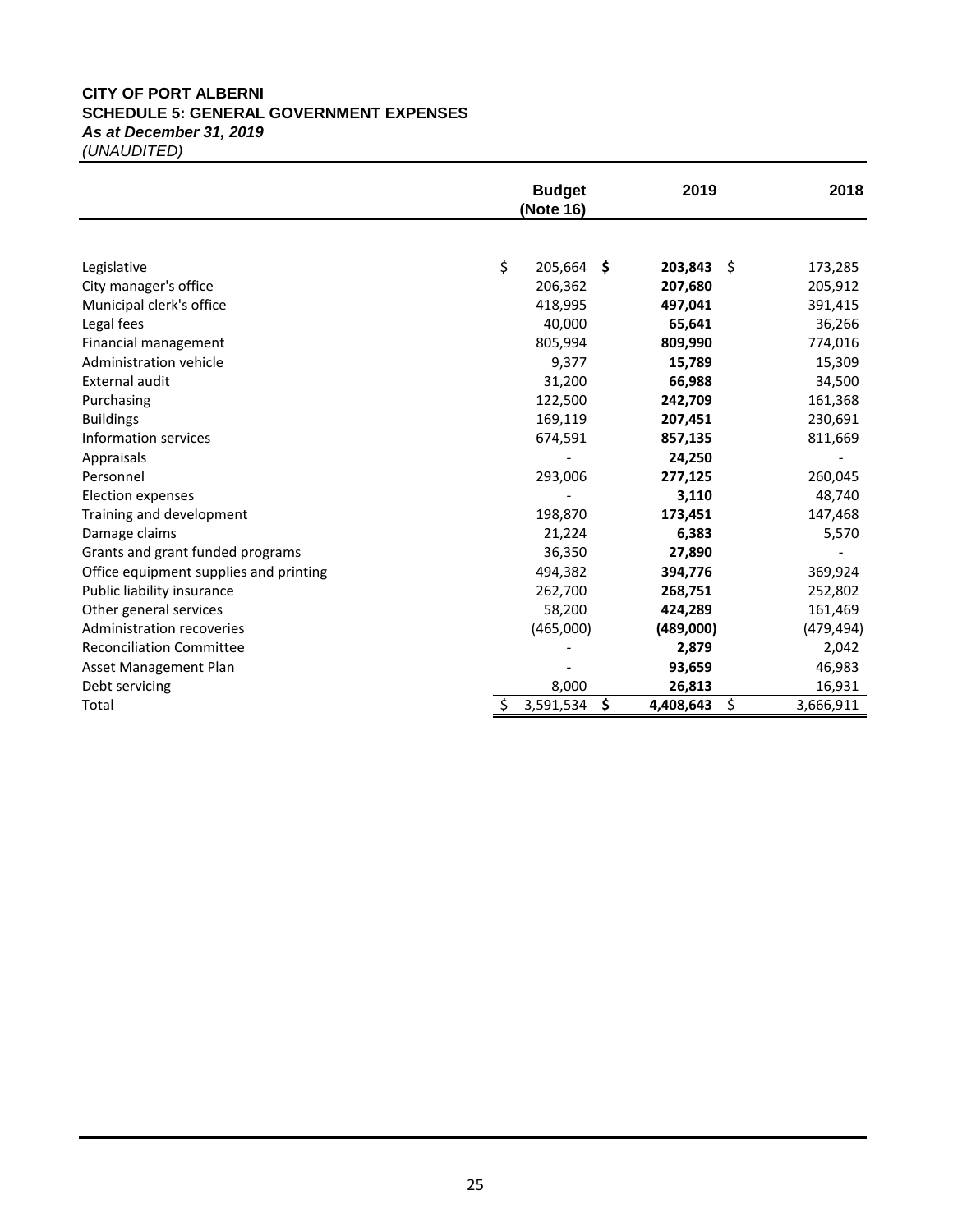# **CITY OF PORT ALBERNI SCHEDULE 5: GENERAL GOVERNMENT EXPENSES**  *As at December 31, 2019*

|                                        | <b>Budget</b><br>(Note 16) |      | 2019      | 2018 |            |
|----------------------------------------|----------------------------|------|-----------|------|------------|
| Legislative                            | \$<br>205,664              | - \$ | 203,843   | Ŝ.   | 173,285    |
| City manager's office                  | 206,362                    |      | 207,680   |      | 205,912    |
| Municipal clerk's office               | 418,995                    |      | 497,041   |      | 391,415    |
| Legal fees                             | 40,000                     |      | 65,641    |      | 36,266     |
| Financial management                   | 805,994                    |      | 809,990   |      | 774,016    |
| Administration vehicle                 | 9,377                      |      | 15,789    |      | 15,309     |
| External audit                         | 31,200                     |      | 66,988    |      | 34,500     |
| Purchasing                             | 122,500                    |      | 242,709   |      | 161,368    |
| <b>Buildings</b>                       | 169,119                    |      | 207,451   |      | 230,691    |
| Information services                   | 674,591                    |      | 857,135   |      | 811,669    |
| Appraisals                             |                            |      | 24,250    |      |            |
| Personnel                              | 293,006                    |      | 277,125   |      | 260,045    |
| <b>Election expenses</b>               |                            |      | 3,110     |      | 48,740     |
| Training and development               | 198,870                    |      | 173,451   |      | 147,468    |
| Damage claims                          | 21,224                     |      | 6,383     |      | 5,570      |
| Grants and grant funded programs       | 36,350                     |      | 27,890    |      |            |
| Office equipment supplies and printing | 494,382                    |      | 394,776   |      | 369,924    |
| Public liability insurance             | 262,700                    |      | 268,751   |      | 252,802    |
| Other general services                 | 58,200                     |      | 424,289   |      | 161,469    |
| <b>Administration recoveries</b>       | (465,000)                  |      | (489,000) |      | (479, 494) |
| <b>Reconciliation Committee</b>        |                            |      | 2,879     |      | 2,042      |
| Asset Management Plan                  |                            |      | 93,659    |      | 46,983     |
| Debt servicing                         | 8,000                      |      | 26,813    |      | 16,931     |
| Total                                  | 3,591,534<br>\$            | \$   | 4,408,643 | \$   | 3,666,911  |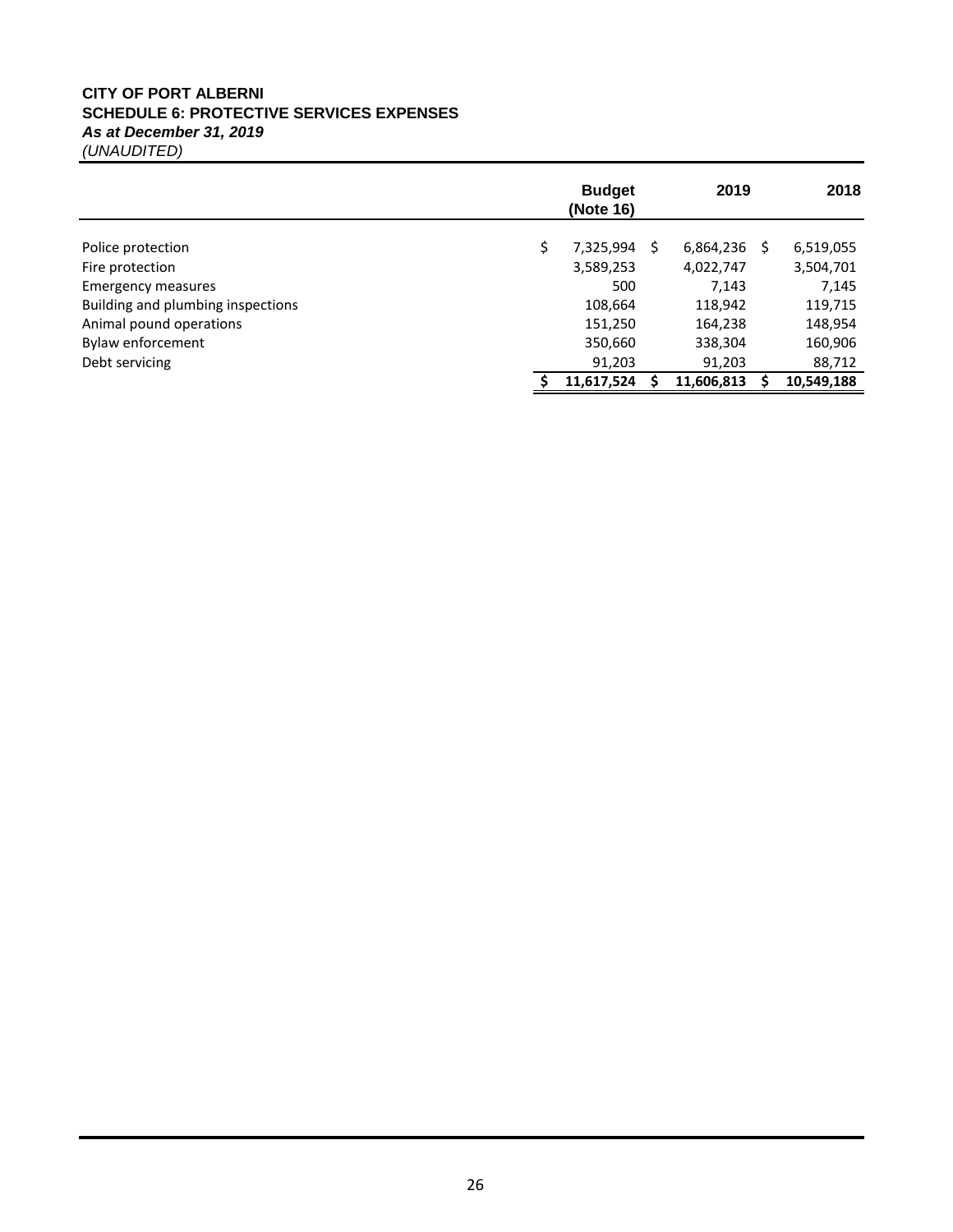# **CITY OF PORT ALBERNI SCHEDULE 6: PROTECTIVE SERVICES EXPENSES** *As at December 31, 2019*

|                                   |   | <b>Budget</b><br>(Note 16) | 2019           | 2018       |
|-----------------------------------|---|----------------------------|----------------|------------|
| Police protection                 | Ś | 7,325,994<br>S             | $6,864,236$ \$ | 6,519,055  |
| Fire protection                   |   | 3,589,253                  | 4,022,747      | 3,504,701  |
| <b>Emergency measures</b>         |   | 500                        | 7.143          | 7,145      |
| Building and plumbing inspections |   | 108,664                    | 118,942        | 119,715    |
| Animal pound operations           |   | 151,250                    | 164,238        | 148,954    |
| Bylaw enforcement                 |   | 350,660                    | 338,304        | 160,906    |
| Debt servicing                    |   | 91,203                     | 91,203         | 88,712     |
|                                   |   | 11,617,524                 | 11,606,813     | 10,549,188 |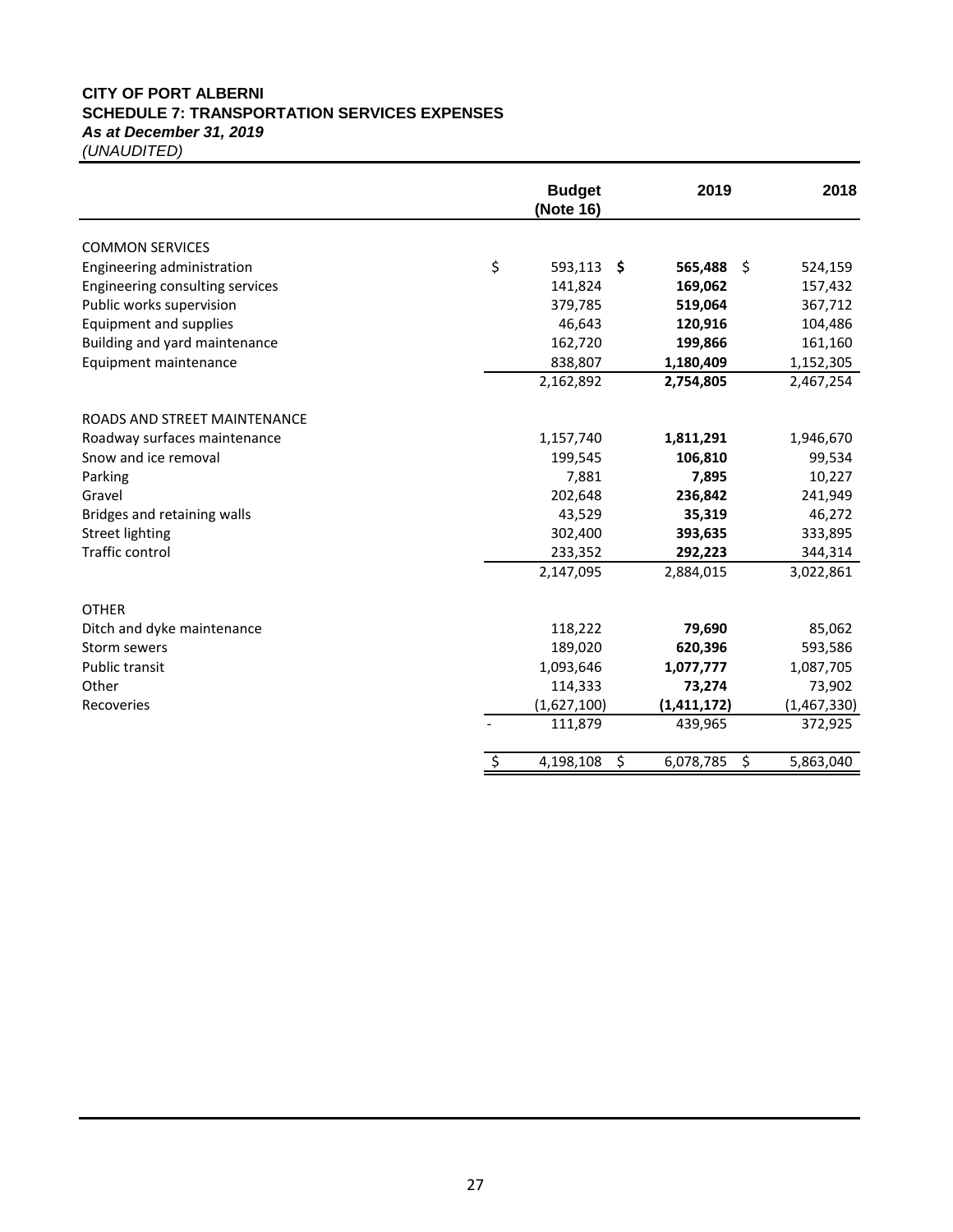# **CITY OF PORT ALBERNI SCHEDULE 7: TRANSPORTATION SERVICES EXPENSES** *As at December 31, 2019*

|                                 |    | <b>Budget</b><br>(Note 16) | 2019    |               | 2018 |             |
|---------------------------------|----|----------------------------|---------|---------------|------|-------------|
| <b>COMMON SERVICES</b>          |    |                            |         |               |      |             |
| Engineering administration      | \$ | 593,113                    | Ŝ       | 565,488       | Ŝ.   | 524,159     |
| Engineering consulting services |    | 141,824                    |         | 169,062       |      | 157,432     |
| Public works supervision        |    | 379,785                    |         | 519,064       |      | 367,712     |
| <b>Equipment and supplies</b>   |    | 46,643                     |         | 120,916       |      | 104,486     |
| Building and yard maintenance   |    | 162,720                    |         | 199,866       |      | 161,160     |
| Equipment maintenance           |    | 838,807                    |         | 1,180,409     |      | 1,152,305   |
|                                 |    | 2,162,892                  |         | 2,754,805     |      | 2,467,254   |
| ROADS AND STREET MAINTENANCE    |    |                            |         |               |      |             |
| Roadway surfaces maintenance    |    | 1,157,740                  |         | 1,811,291     |      | 1,946,670   |
| Snow and ice removal            |    | 199,545                    |         | 106,810       |      | 99,534      |
| Parking                         |    | 7,881                      |         | 7,895         |      | 10,227      |
| Gravel                          |    | 202,648                    |         | 236,842       |      | 241,949     |
| Bridges and retaining walls     |    | 43,529                     |         | 35,319        |      | 46,272      |
| <b>Street lighting</b>          |    | 302,400                    |         | 393,635       |      | 333,895     |
| <b>Traffic control</b>          |    | 233,352                    |         | 292,223       |      | 344,314     |
|                                 |    | 2,147,095                  |         | 2,884,015     |      | 3,022,861   |
| <b>OTHER</b>                    |    |                            |         |               |      |             |
| Ditch and dyke maintenance      |    | 118,222                    |         | 79,690        |      | 85,062      |
| Storm sewers                    |    | 189,020                    |         | 620,396       |      | 593,586     |
| Public transit                  |    | 1,093,646                  |         | 1,077,777     |      | 1,087,705   |
| Other                           |    | 114,333                    |         | 73,274        |      | 73,902      |
| Recoveries                      |    | (1,627,100)                |         | (1, 411, 172) |      | (1,467,330) |
|                                 |    | 111,879                    |         | 439,965       |      | 372,925     |
|                                 | \$ | 4,198,108                  | $\zeta$ | 6,078,785     | \$   | 5,863,040   |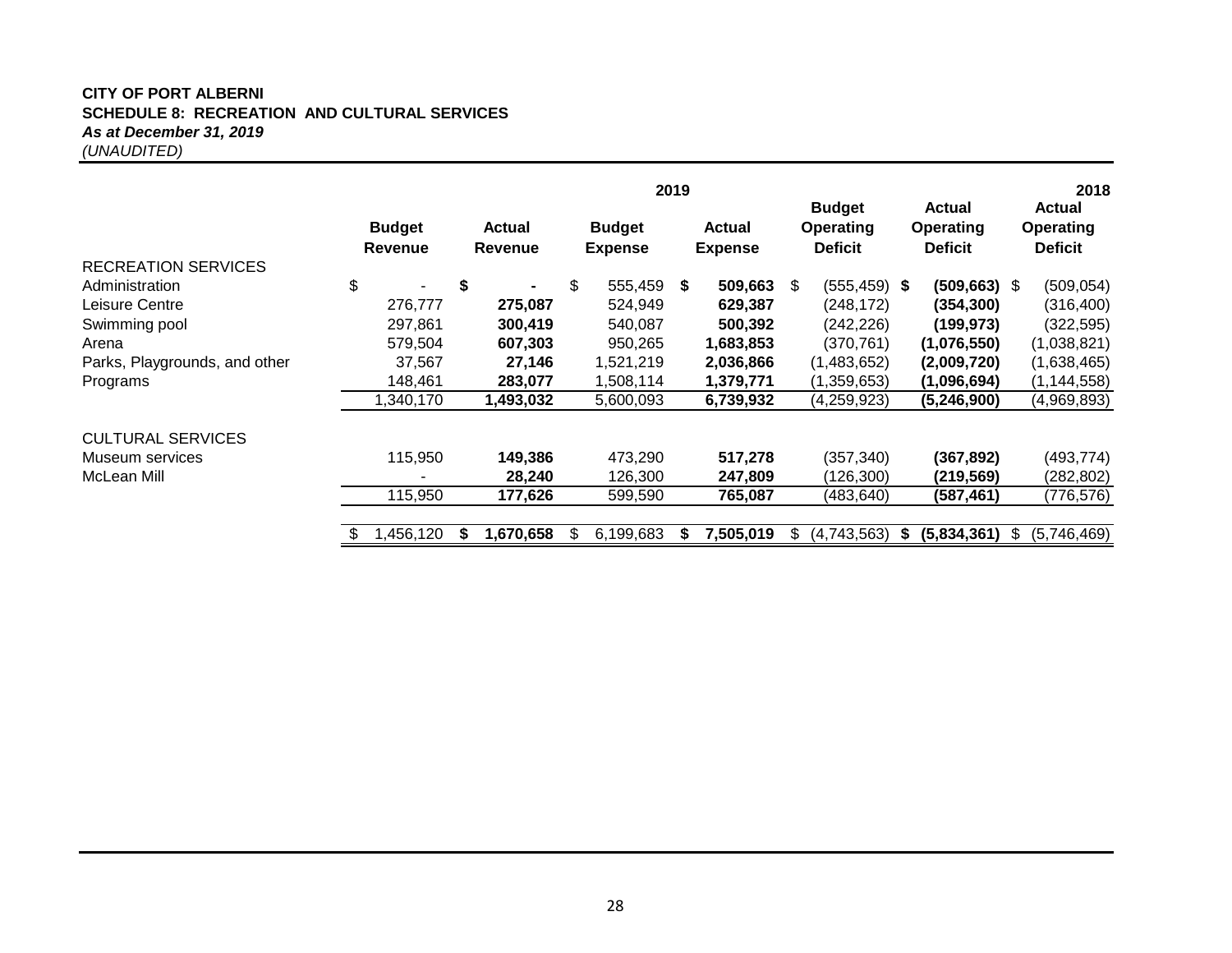# **CITY OF PORT ALBERNI SCHEDULE 8: RECREATION AND CULTURAL SERVICES**  *As at December 31, 2019 (UNAUDITED)*

|                               | 2019<br><b>Budget</b>           |    |                          |     |                                 |      |                                 |     | <b>Actual</b>                      |   | 2018<br>Actual                     |     |                                    |
|-------------------------------|---------------------------------|----|--------------------------|-----|---------------------------------|------|---------------------------------|-----|------------------------------------|---|------------------------------------|-----|------------------------------------|
|                               | <b>Budget</b><br><b>Revenue</b> |    | Actual<br><b>Revenue</b> |     | <b>Budget</b><br><b>Expense</b> |      | <b>Actual</b><br><b>Expense</b> |     | <b>Operating</b><br><b>Deficit</b> |   | <b>Operating</b><br><b>Deficit</b> |     | <b>Operating</b><br><b>Deficit</b> |
| <b>RECREATION SERVICES</b>    |                                 |    |                          |     |                                 |      |                                 |     |                                    |   |                                    |     |                                    |
| Administration                | \$                              | \$ |                          | \$  | 555,459                         | - \$ | 509,663                         | \$. | $(555, 459)$ \$                    |   | $(509, 663)$ \$                    |     | (509, 054)                         |
| Leisure Centre                | 276,777                         |    | 275,087                  |     | 524,949                         |      | 629,387                         |     | (248,172)                          |   | (354, 300)                         |     | (316,400)                          |
| Swimming pool                 | 297,861                         |    | 300,419                  |     | 540,087                         |      | 500,392                         |     | (242,226)                          |   | (199, 973)                         |     | (322, 595)                         |
| Arena                         | 579,504                         |    | 607,303                  |     | 950.265                         |      | 1,683,853                       |     | (370, 761)                         |   | (1,076,550)                        |     | (1,038,821)                        |
| Parks, Playgrounds, and other | 37.567                          |    | 27,146                   |     | 1,521,219                       |      | 2,036,866                       |     | (1,483,652)                        |   | (2,009,720)                        |     | (1,638,465)                        |
| Programs                      | 148,461                         |    | 283,077                  |     | 1,508,114                       |      | 1,379,771                       |     | (1,359,653)                        |   | (1,096,694)                        |     | (1, 144, 558)                      |
|                               | 1,340,170                       |    | 1,493,032                |     | 5,600,093                       |      | 6,739,932                       |     | (4,259,923)                        |   | (5,246,900)                        |     | (4,969,893)                        |
| <b>CULTURAL SERVICES</b>      |                                 |    |                          |     |                                 |      |                                 |     |                                    |   |                                    |     |                                    |
| Museum services               | 115,950                         |    | 149,386                  |     | 473,290                         |      | 517,278                         |     | (357,340)                          |   | (367, 892)                         |     | (493, 774)                         |
| McLean Mill                   |                                 |    | 28,240                   |     | 126,300                         |      | 247,809                         |     | (126,300)                          |   | (219,569)                          |     | (282, 802)                         |
|                               | 115,950                         |    | 177,626                  |     | 599,590                         |      | 765,087                         |     | (483,640)                          |   | (587, 461)                         |     | (776,576)                          |
|                               |                                 |    |                          |     |                                 |      |                                 |     |                                    |   |                                    |     |                                    |
|                               | 1,456,120                       |    | 1,670,658                | \$. | 6,199,683                       |      | 7,505,019                       | S   | (4,743,563)                        | S | (5,834,361)                        | \$. | (5,746,469)                        |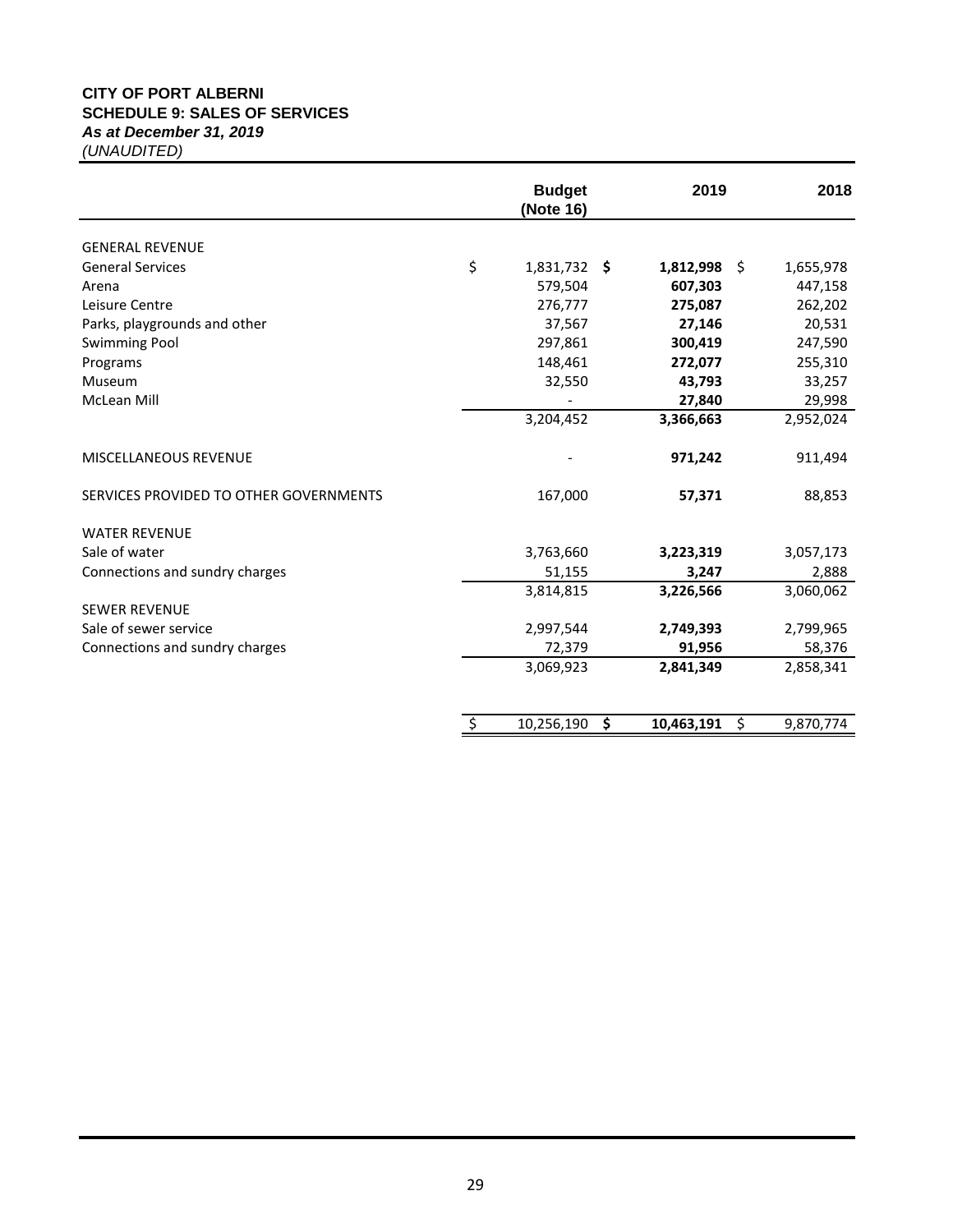# **CITY OF PORT ALBERNI SCHEDULE 9: SALES OF SERVICES**  *As at December 31, 2019*

|                                        | <b>Budget</b><br>(Note 16) | 2019             |    | 2018      |
|----------------------------------------|----------------------------|------------------|----|-----------|
| <b>GENERAL REVENUE</b>                 |                            |                  |    |           |
| <b>General Services</b>                | \$<br>1,831,732 \$         | 1,812,998        | -Ś | 1,655,978 |
| Arena                                  | 579,504                    | 607,303          |    | 447,158   |
| Leisure Centre                         | 276,777                    | 275,087          |    | 262,202   |
| Parks, playgrounds and other           | 37,567                     | 27,146           |    | 20,531    |
| <b>Swimming Pool</b>                   | 297,861                    | 300,419          |    | 247,590   |
| Programs                               | 148,461                    | 272,077          |    | 255,310   |
| Museum                                 | 32,550                     | 43,793           |    | 33,257    |
| <b>McLean Mill</b>                     |                            | 27,840           |    | 29,998    |
|                                        | 3,204,452                  | 3,366,663        |    | 2,952,024 |
| <b>MISCELLANEOUS REVENUE</b>           |                            | 971,242          |    | 911,494   |
| SERVICES PROVIDED TO OTHER GOVERNMENTS | 167,000                    | 57,371           |    | 88,853    |
| <b>WATER REVENUE</b>                   |                            |                  |    |           |
| Sale of water                          | 3,763,660                  | 3,223,319        |    | 3,057,173 |
| Connections and sundry charges         | 51,155                     | 3,247            |    | 2,888     |
|                                        | 3,814,815                  | 3,226,566        |    | 3,060,062 |
| <b>SEWER REVENUE</b>                   |                            |                  |    |           |
| Sale of sewer service                  | 2,997,544                  | 2,749,393        |    | 2,799,965 |
| Connections and sundry charges         | 72,379                     | 91,956           |    | 58,376    |
|                                        | 3,069,923                  | 2,841,349        |    | 2,858,341 |
|                                        |                            |                  |    |           |
|                                        | \$<br>10,256,190           | \$<br>10,463,191 | \$ | 9,870,774 |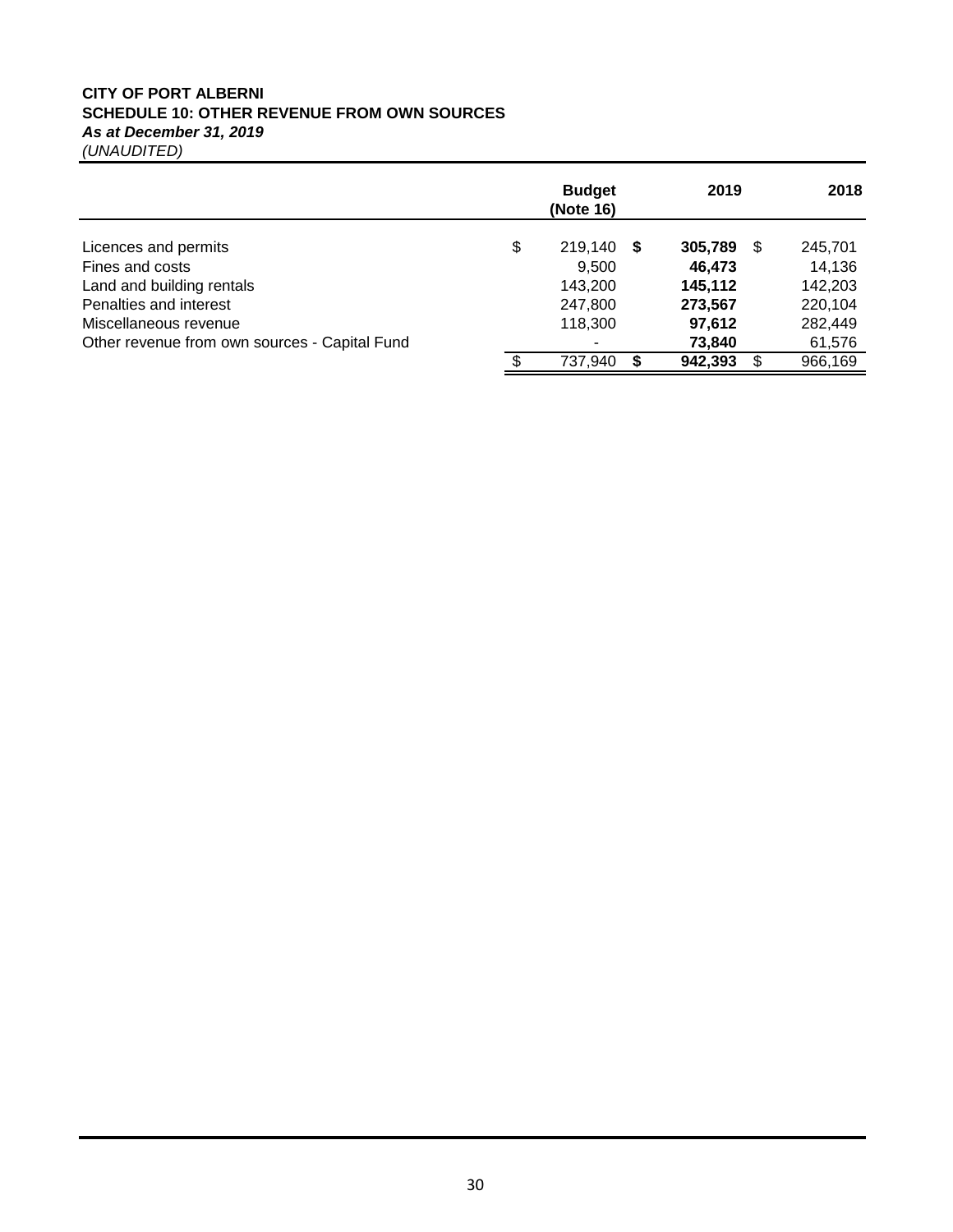# **CITY OF PORT ALBERNI SCHEDULE 10: OTHER REVENUE FROM OWN SOURCES**  *As at December 31, 2019*

|                                               | <b>Budget</b><br>(Note 16) | 2019    |   | 2018    |  |
|-----------------------------------------------|----------------------------|---------|---|---------|--|
| Licences and permits                          | \$<br>219,140 \$           | 305,789 | S | 245,701 |  |
| Fines and costs                               | 9,500                      | 46,473  |   | 14,136  |  |
| Land and building rentals                     | 143,200                    | 145,112 |   | 142,203 |  |
| Penalties and interest                        | 247,800                    | 273,567 |   | 220,104 |  |
| Miscellaneous revenue                         | 118,300                    | 97,612  |   | 282,449 |  |
| Other revenue from own sources - Capital Fund |                            | 73.840  |   | 61,576  |  |
|                                               | 737.940                    | 942,393 |   | 966,169 |  |